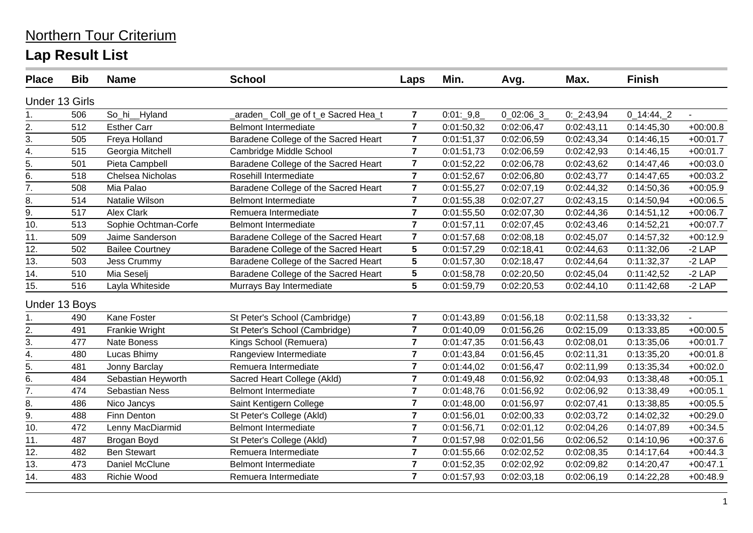| <b>Place</b>          | <b>Bib</b>    | <b>Name</b>            | <b>School</b>                        | Laps           | Min.        | Avg.          | Max.       | <b>Finish</b> |                             |
|-----------------------|---------------|------------------------|--------------------------------------|----------------|-------------|---------------|------------|---------------|-----------------------------|
| <b>Under 13 Girls</b> |               |                        |                                      |                |             |               |            |               |                             |
| 1.                    | 506           | So_hi__Hyland          | araden_ Coll_ge of t_e Sacred Hea_t  | $\overline{7}$ | $0:01:-9,8$ | $0$ 02:06 $3$ | 0:2:43,94  | $0_14:44,2$   |                             |
| 2.                    | 512           | <b>Esther Carr</b>     | <b>Belmont Intermediate</b>          | $\overline{7}$ | 0:01:50,32  | 0:02:06,47    | 0:02:43,11 | 0:14:45,30    | $+00:00.8$                  |
| 3.                    | 505           | Freya Holland          | Baradene College of the Sacred Heart | $\overline{7}$ | 0:01:51,37  | 0:02:06,59    | 0:02:43,34 | 0:14:46,15    | $+00:01.7$                  |
| $\overline{4}$ .      | 515           | Georgia Mitchell       | Cambridge Middle School              | $\overline{7}$ | 0:01:51,73  | 0:02:06,59    | 0:02:42,93 | 0:14:46,15    | $+00:01.7$                  |
| 5.                    | 501           | Pieta Campbell         | Baradene College of the Sacred Heart | $\overline{7}$ | 0:01:52,22  | 0:02:06,78    | 0:02:43,62 | 0:14:47,46    | $+00:03.0$                  |
| 6.                    | 518           | Chelsea Nicholas       | Rosehill Intermediate                | $\overline{7}$ | 0:01:52,67  | 0:02:06,80    | 0:02:43,77 | 0:14:47,65    | $+00:03.2$                  |
| $\overline{7}$ .      | 508           | Mia Palao              | Baradene College of the Sacred Heart | $\overline{7}$ | 0:01:55,27  | 0:02:07,19    | 0:02:44,32 | 0:14:50,36    | $+00:05.9$                  |
| 8.                    | 514           | Natalie Wilson         | <b>Belmont Intermediate</b>          | $\overline{7}$ | 0:01:55,38  | 0:02:07,27    | 0:02:43,15 | 0:14:50,94    | $+00:06.5$                  |
| $\overline{9}$ .      | 517           | <b>Alex Clark</b>      | Remuera Intermediate                 | $\overline{7}$ | 0:01:55,50  | 0:02:07,30    | 0:02:44,36 | 0:14:51,12    | $+00:06.7$                  |
| 10.                   | 513           | Sophie Ochtman-Corfe   | <b>Belmont Intermediate</b>          | $\overline{7}$ | 0:01:57,11  | 0:02:07,45    | 0:02:43,46 | 0:14:52,21    | $+00:07.7$                  |
| 11.                   | 509           | Jaime Sanderson        | Baradene College of the Sacred Heart | $\overline{7}$ | 0:01:57,68  | 0:02:08,18    | 0:02:45,07 | 0:14:57,32    | $+00:12.9$                  |
| 12.                   | 502           | <b>Bailee Courtney</b> | Baradene College of the Sacred Heart | $5\phantom{1}$ | 0:01:57,29  | 0:02:18,41    | 0:02:44,63 | 0:11:32,06    | $-2$ LAP                    |
| 13.                   | 503           | <b>Jess Crummy</b>     | Baradene College of the Sacred Heart | $5\phantom{1}$ | 0:01:57,30  | 0:02:18,47    | 0:02:44,64 | 0:11:32,37    | $-2$ LAP                    |
| 14.                   | 510           | Mia Seselj             | Baradene College of the Sacred Heart | 5              | 0:01:58,78  | 0:02:20,50    | 0:02:45,04 | 0:11:42,52    | $-2$ LAP                    |
| 15.                   | 516           | Layla Whiteside        | Murrays Bay Intermediate             | 5              | 0:01:59,79  | 0:02:20,53    | 0:02:44,10 | 0:11:42,68    | $-2$ LAP                    |
|                       | Under 13 Boys |                        |                                      |                |             |               |            |               |                             |
| 1.                    | 490           | Kane Foster            | St Peter's School (Cambridge)        | $\overline{7}$ | 0:01:43,89  | 0:01:56,18    | 0:02:11,58 | 0:13:33,32    | $\mathcal{L}^{\mathcal{A}}$ |
| 2.                    | 491           | <b>Frankie Wright</b>  | St Peter's School (Cambridge)        | $\overline{7}$ | 0:01:40,09  | 0:01:56,26    | 0:02:15,09 | 0:13:33,85    | $+00:00.5$                  |
| $\overline{3}$ .      | 477           | Nate Boness            | Kings School (Remuera)               | $\overline{7}$ | 0:01:47,35  | 0:01:56,43    | 0:02:08,01 | 0:13:35,06    | $+00:01.7$                  |
| $\frac{1}{4}$         | 480           | Lucas Bhimy            | Rangeview Intermediate               | $\overline{7}$ | 0:01:43,84  | 0:01:56,45    | 0:02:11,31 | 0:13:35,20    | $+00:01.8$                  |
| 5.                    | 481           | Jonny Barclay          | Remuera Intermediate                 | $\overline{7}$ | 0:01:44,02  | 0:01:56,47    | 0:02:11,99 | 0:13:35,34    | $+00:02.0$                  |
| 6.                    | 484           | Sebastian Heyworth     | Sacred Heart College (Akld)          | $\overline{7}$ | 0:01:49,48  | 0:01:56,92    | 0:02:04,93 | 0:13:38,48    | $+00:05.1$                  |
| $\overline{7}$ .      | 474           | Sebastian Ness         | <b>Belmont Intermediate</b>          | $\overline{7}$ | 0:01:48,76  | 0:01:56,92    | 0:02:06,92 | 0:13:38,49    | $+00:05.1$                  |
| 8.                    | 486           | Nico Jancys            | Saint Kentigern College              | $\overline{7}$ | 0:01:48,00  | 0:01:56,97    | 0:02:07,41 | 0:13:38,85    | $+00:05.5$                  |
| $\overline{9}$ .      | 488           | <b>Finn Denton</b>     | St Peter's College (Akld)            | $\overline{7}$ | 0:01:56,01  | 0:02:00,33    | 0:02:03,72 | 0:14:02,32    | $+00:29.0$                  |
| 10.                   | 472           | Lenny MacDiarmid       | <b>Belmont Intermediate</b>          | $\overline{7}$ | 0:01:56,71  | 0:02:01,12    | 0:02:04,26 | 0:14:07,89    | $+00:34.5$                  |
| 11.                   | 487           | Brogan Boyd            | St Peter's College (Akld)            | $\overline{7}$ | 0:01:57,98  | 0:02:01,56    | 0:02:06,52 | 0:14:10,96    | $+00:37.6$                  |
| 12.                   | 482           | <b>Ben Stewart</b>     | Remuera Intermediate                 | $\overline{7}$ | 0:01:55,66  | 0:02:02,52    | 0:02:08,35 | 0:14:17,64    | $+00:44.3$                  |
| 13.                   | 473           | Daniel McClune         | <b>Belmont Intermediate</b>          | $\overline{7}$ | 0:01:52,35  | 0:02:02,92    | 0:02:09,82 | 0:14:20,47    | $+00:47.1$                  |
| 14.                   | 483           | Richie Wood            | Remuera Intermediate                 | $\overline{7}$ | 0:01:57,93  | 0:02:03,18    | 0:02:06,19 | 0:14:22,28    | $+00:48.9$                  |
|                       |               |                        |                                      |                |             |               |            |               |                             |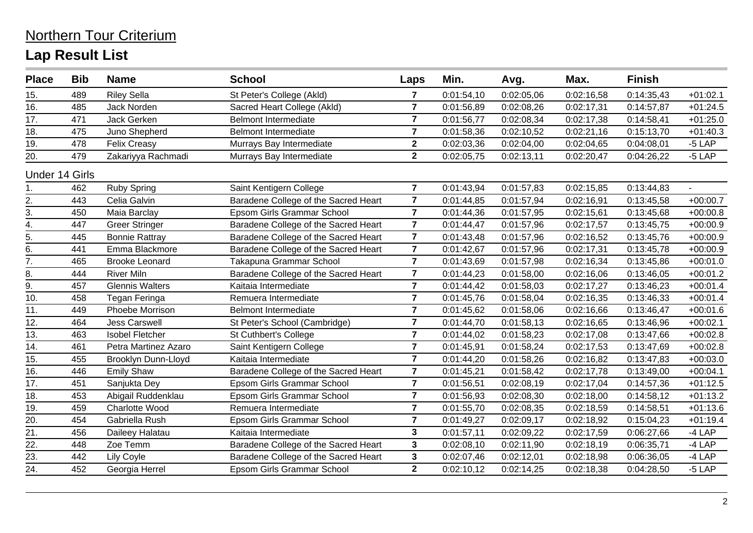#### 15. 489 Riley Sella St Peter's College (Akld) **7** 0:01:54,10 0:02:05,06 0:02:16,58 0:14:35,43 +01:02.1 16. 485 Jack Norden Sacred Heart College (Akld) **7** 0:01:56,89 0:02:08,26 0:02:17,31 0:14:57,87 +01:24.5 17. 471 Jack Gerken Belmont Intermediate **7** 0:01:56,77 0:02:08,34 0:02:17,38 0:14:58,41 +01:25.0 18. 475 Juno Shepherd Belmont Intermediate **7** 0:01:58,36 0:02:10,52 0:02:21,16 0:15:13,70 +01:40.3 19. 478 Felix Creasy Murrays Bay Intermediate **2** 0:02:03,36 0:02:04,00 0:02:04,65 0:04:08,01 -5 LAP 20. 479 Zakariyya Rachmadi Murrays Bay Intermediate **2** 0:02:05,75 0:02:13,11 0:02:20,47 0:04:26,22 -5 LAP Under 14 Girls 1. 462 Ruby Spring Saint Kentigern College **7** 0:01:43,94 0:01:57,83 0:02:15,85 0:13:44,83 - 2. 443 Celia Galvin Baradene College of the Sacred Heart **7** 0:01:44,85 0:01:57,94 0:02:16,91 0:13:45,58 +00:00.7 3. 450 Maia Barclay Epsom Girls Grammar School **7** 0:01:44,36 0:01:57,95 0:02:15,61 0:13:45,68 +00:00.8 4. 447 Greer Stringer Baradene College of the Sacred Heart **7** 0:01:44,47 0:01:57,96 0:02:17,57 0:13:45,75 +00:00.9 5. 445 Bonnie Rattray Baradene College of the Sacred Heart **7** 0:01:43,48 0:01:57,96 0:02:16,52 0:13:45,76 +00:00.9 6. 441 Emma Blackmore Baradene College of the Sacred Heart **7** 0:01:42,67 0:01:57,96 0:02:17,31 0:13:45,78 +00:00.9 7. 465 Brooke Leonard Takapuna Grammar School **7** 0:01:43,69 0:01:57,98 0:02:16,34 0:13:45,86 +00:01.0 8. 444 River Miln Baradene College of the Sacred Heart **7** 0:01:44,23 0:01:58,00 0:02:16,06 0:13:46,05 +00:01.2 9. 457 Glennis Walters Kaitaia Intermediate **7** 0:01:44,42 0:01:58,03 0:02:17,27 0:13:46,23 +00:01.4 10. 458 Tegan Feringa Remuera Intermediate **7** 0:01:45,76 0:01:58,04 0:02:16,35 0:13:46,33 +00:01.4 11. 449 Phoebe Morrison Belmont Intermediate **7** 0:01:45,62 0:01:58,06 0:02:16,66 0:13:46,47 +00:01.6 12. 464 Jess Carswell St Peter's School (Cambridge) **7** 0:01:44,70 0:01:58,13 0:02:16,65 0:13:46,96 +00:02.1 13. 463 Isobel Fletcher St Cuthbert's College **7** 0:01:44,02 0:01:58,23 0:02:17,08 0:13:47,66 +00:02.8 14. 461 Petra Martinez Azaro Saint Kentigern College **7** 0:01:45,91 0:01:58,24 0:02:17,53 0:13:47,69 +00:02.8 15. 455 Brooklyn Dunn-Lloyd Kaitaia Intermediate **7** 0:01:44,20 0:01:58,26 0:02:16,82 0:13:47,83 +00:03.0 16. 446 Emily Shaw Baradene College of the Sacred Heart **7** 0:01:45,21 0:01:58,42 0:02:17,78 0:13:49,00 +00:04.1 17. 451 Sanjukta Dey Epsom Girls Grammar School **7** 0:01:56,51 0:02:08,19 0:02:17,04 0:14:57,36 +01:12.5 18. 453 Abigail Ruddenklau Epsom Girls Grammar School **7** 0:01:56,93 0:02:08,30 0:02:18,00 0:14:58,12 +01:13.2 19. 459 Charlotte Wood Remuera Intermediate **7** 0:01:55,70 0:02:08,35 0:02:18,59 0:14:58,51 +01:13.6 20. 454 Gabriella Rush Epsom Girls Grammar School **7** 0:01:49,27 0:02:09,17 0:02:18,92 0:15:04,23 +01:19.4 21. 456 Daileey Halatau Kaitaia Intermediate **3** 0:01:57,11 0:02:09,22 0:02:17,59 0:06:27,66 -4 LAP 22. 448 Zoe Temm Baradene College of the Sacred Heart **3** 0:02:08,10 0:02:11,90 0:02:18,19 0:06:35,71 -4 LAP 23. 442 Lily Coyle Baradene College of the Sacred Heart **3** 0:02:07,46 0:02:12,01 0:02:18,98 0:06:36,05 -4 LAP 24. 452 Georgia Herrel Epsom Girls Grammar School **2** 0:02:10,12 0:02:14,25 0:02:18,38 0:04:28,50 -5 LAP **Place Bib Name School Laps Min. Avg. Max. Finish**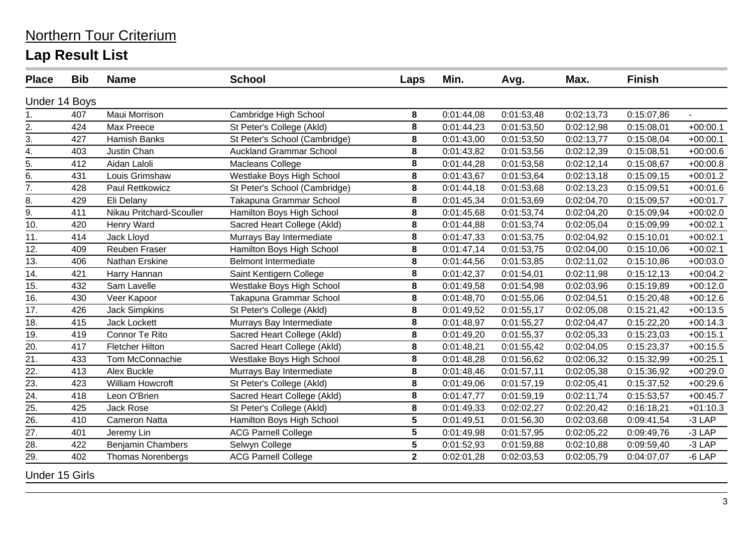| <b>Place</b>          | <b>Bib</b>    | <b>Name</b>              | <b>School</b>                  | Laps            | Min.       | Avg.       | Max.       | <b>Finish</b> |            |
|-----------------------|---------------|--------------------------|--------------------------------|-----------------|------------|------------|------------|---------------|------------|
|                       | Under 14 Boys |                          |                                |                 |            |            |            |               |            |
| 1.                    | 407           | Maui Morrison            | Cambridge High School          | 8               | 0:01:44,08 | 0:01:53,48 | 0:02:13,73 | 0:15:07,86    |            |
| $\overline{2}$ .      | 424           | Max Preece               | St Peter's College (Akld)      | 8               | 0:01:44,23 | 0:01:53,50 | 0:02:12,98 | 0:15:08,01    | $+00:00.1$ |
| 3.                    | 427           | Hamish Banks             | St Peter's School (Cambridge)  | 8               | 0:01:43,00 | 0:01:53,50 | 0:02:13,77 | 0:15:08,04    | $+00:00.1$ |
| 4.                    | 403           | Justin Chan              | <b>Auckland Grammar School</b> | 8               | 0:01:43,82 | 0:01:53,56 | 0:02:12,39 | 0:15:08,51    | $+00:00.6$ |
| $\overline{5}$ .      | 412           | Aidan Laloli             | Macleans College               | 8               | 0:01:44,28 | 0:01:53,58 | 0:02:12,14 | 0:15:08,67    | $+00:00.8$ |
| 6.                    | 431           | Louis Grimshaw           | Westlake Boys High School      | 8               | 0:01:43,67 | 0:01:53,64 | 0:02:13,18 | 0:15:09,15    | $+00:01.2$ |
| $\overline{7}$ .      | 428           | Paul Rettkowicz          | St Peter's School (Cambridge)  | 8               | 0:01:44,18 | 0:01:53,68 | 0:02:13,23 | 0:15:09,51    | $+00:01.6$ |
| 8.                    | 429           | Eli Delany               | Takapuna Grammar School        | 8               | 0:01:45,34 | 0:01:53,69 | 0:02:04,70 | 0:15:09,57    | $+00:01.7$ |
| 9.                    | 411           | Nikau Pritchard-Scouller | Hamilton Boys High School      | $\bf 8$         | 0:01:45,68 | 0:01:53,74 | 0:02:04,20 | 0:15:09,94    | $+00:02.0$ |
| 10.                   | 420           | Henry Ward               | Sacred Heart College (Akld)    | 8               | 0:01:44,88 | 0:01:53,74 | 0:02:05,04 | 0:15:09,99    | $+00:02.1$ |
| 11.                   | 414           | Jack Lloyd               | Murrays Bay Intermediate       | 8               | 0:01:47,33 | 0:01:53,75 | 0:02:04,92 | 0:15:10,01    | $+00:02.1$ |
| 12.                   | 409           | Reuben Fraser            | Hamilton Boys High School      | 8               | 0:01:47,14 | 0:01:53,75 | 0:02:04,00 | 0:15:10,06    | $+00:02.1$ |
| 13.                   | 406           | Nathan Erskine           | <b>Belmont Intermediate</b>    | 8               | 0:01:44,56 | 0:01:53,85 | 0:02:11,02 | 0:15:10,86    | $+00:03.0$ |
| 14.                   | 421           | Harry Hannan             | Saint Kentigern College        | $\bf 8$         | 0:01:42,37 | 0:01:54,01 | 0:02:11,98 | 0:15:12,13    | $+00:04.2$ |
| 15.                   | 432           | Sam Lavelle              | Westlake Boys High School      | 8               | 0:01:49,58 | 0:01:54,98 | 0:02:03,96 | 0:15:19,89    | $+00:12.0$ |
| 16.                   | 430           | Veer Kapoor              | Takapuna Grammar School        | 8               | 0:01:48,70 | 0:01:55,06 | 0:02:04,51 | 0:15:20,48    | $+00:12.6$ |
| 17.                   | 426           | <b>Jack Simpkins</b>     | St Peter's College (Akld)      | 8               | 0:01:49,52 | 0:01:55,17 | 0:02:05,08 | 0:15:21,42    | $+00:13.5$ |
| 18.                   | 415           | <b>Jack Lockett</b>      | Murrays Bay Intermediate       | $\bf 8$         | 0:01:48,97 | 0:01:55,27 | 0:02:04,47 | 0:15:22,20    | $+00:14.3$ |
| 19.                   | 419           | Connor Te Rito           | Sacred Heart College (Akld)    | 8               | 0:01:49,20 | 0:01:55,37 | 0:02:05,33 | 0:15:23,03    | $+00:15.1$ |
| 20.                   | 417           | <b>Fletcher Hilton</b>   | Sacred Heart College (Akld)    | 8               | 0:01:48,21 | 0:01:55,42 | 0:02:04,05 | 0:15:23,37    | $+00:15.5$ |
| 21.                   | 433           | Tom McConnachie          | Westlake Boys High School      | 8               | 0:01:48,28 | 0:01:56,62 | 0:02:06,32 | 0:15:32,99    | $+00:25.1$ |
| 22.                   | 413           | Alex Buckle              | Murrays Bay Intermediate       | $\bf 8$         | 0:01:48,46 | 0:01:57,11 | 0:02:05,38 | 0:15:36,92    | $+00:29.0$ |
| 23.                   | 423           | William Howcroft         | St Peter's College (Akld)      | 8               | 0:01:49,06 | 0:01:57,19 | 0:02:05,41 | 0:15:37,52    | $+00:29.6$ |
| $\overline{24}$ .     | 418           | Leon O'Brien             | Sacred Heart College (Akld)    | 8               | 0:01:47,77 | 0:01:59,19 | 0:02:11,74 | 0:15:53,57    | $+00:45.7$ |
| 25.                   | 425           | <b>Jack Rose</b>         | St Peter's College (Akld)      | 8               | 0:01:49,33 | 0:02:02,27 | 0:02:20,42 | 0:16:18,21    | $+01:10.3$ |
| 26.                   | 410           | <b>Cameron Natta</b>     | Hamilton Boys High School      | 5               | 0:01:49,51 | 0:01:56,30 | 0:02:03,68 | 0:09:41,54    | $-3$ LAP   |
| 27.                   | 401           | Jeremy Lin               | <b>ACG Parnell College</b>     | 5               | 0:01:49,98 | 0:01:57,95 | 0:02:05,22 | 0:09:49,76    | $-3$ LAP   |
| 28.                   | 422           | <b>Benjamin Chambers</b> | Selwyn College                 | $5\phantom{.0}$ | 0:01:52,93 | 0:01:59,88 | 0:02:10,88 | 0:09:59,40    | $-3$ LAP   |
| 29.                   | 402           | <b>Thomas Norenbergs</b> | <b>ACG Parnell College</b>     | $\overline{2}$  | 0:02:01,28 | 0:02:03,53 | 0:02:05,79 | 0:04:07,07    | $-6$ LAP   |
| <b>Under 15 Girls</b> |               |                          |                                |                 |            |            |            |               |            |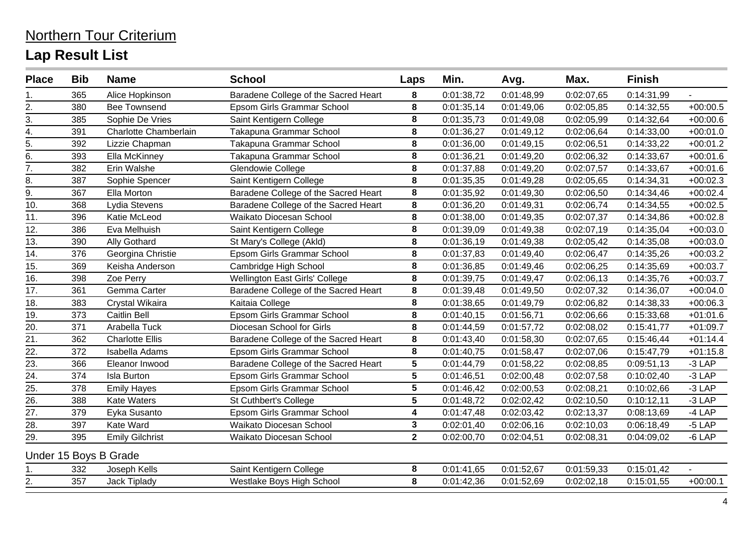| <b>Place</b>      | <b>Bib</b> | <b>Name</b>            | <b>School</b>                        | Laps                    | Min.       | Avg.       | Max.       | <b>Finish</b> |            |
|-------------------|------------|------------------------|--------------------------------------|-------------------------|------------|------------|------------|---------------|------------|
| 1.                | 365        | Alice Hopkinson        | Baradene College of the Sacred Heart | 8                       | 0:01:38,72 | 0:01:48,99 | 0:02:07,65 | 0:14:31,99    | L.         |
| 2.                | 380        | <b>Bee Townsend</b>    | Epsom Girls Grammar School           | 8                       | 0:01:35,14 | 0:01:49,06 | 0:02:05,85 | 0:14:32,55    | $+00:00.5$ |
| 3.                | 385        | Sophie De Vries        | Saint Kentigern College              | $\bf 8$                 | 0:01:35,73 | 0:01:49,08 | 0:02:05,99 | 0:14:32,64    | $+00:00.6$ |
| $\frac{4}{4}$ .   | 391        | Charlotte Chamberlain  | Takapuna Grammar School              | 8                       | 0:01:36,27 | 0:01:49,12 | 0:02:06,64 | 0:14:33,00    | $+00:01.0$ |
|                   | 392        | Lizzie Chapman         | Takapuna Grammar School              | 8                       | 0:01:36,00 | 0:01:49,15 | 0:02:06,51 | 0:14:33,22    | $+00:01.2$ |
| 6.                | 393        | Ella McKinney          | Takapuna Grammar School              | 8                       | 0:01:36,21 | 0:01:49,20 | 0:02:06,32 | 0:14:33,67    | $+00:01.6$ |
| 7.                | 382        | Erin Walshe            | Glendowie College                    | 8                       | 0:01:37,88 | 0:01:49,20 | 0:02:07,57 | 0:14:33,67    | $+00:01.6$ |
|                   | 387        | Sophie Spencer         | Saint Kentigern College              | 8                       | 0:01:35,35 | 0:01:49,28 | 0:02:05,65 | 0:14:34,31    | $+00:02.3$ |
| $\frac{8}{9}$ .   | 367        | Ella Morton            | Baradene College of the Sacred Heart | 8                       | 0:01:35,92 | 0:01:49,30 | 0:02:06,50 | 0:14:34,46    | $+00:02.4$ |
| 10.               | 368        | Lydia Stevens          | Baradene College of the Sacred Heart | $\bf 8$                 | 0:01:36,20 | 0:01:49,31 | 0:02:06,74 | 0:14:34,55    | $+00:02.5$ |
| 11.               | 396        | Katie McLeod           | Waikato Diocesan School              | 8                       | 0:01:38,00 | 0:01:49,35 | 0:02:07,37 | 0:14:34,86    | $+00:02.8$ |
| 12.               | 386        | Eva Melhuish           | Saint Kentigern College              | 8                       | 0:01:39,09 | 0:01:49,38 | 0:02:07,19 | 0:14:35,04    | $+00:03.0$ |
| 13.               | 390        | Ally Gothard           | St Mary's College (Akld)             | 8                       | 0:01:36,19 | 0:01:49,38 | 0:02:05,42 | 0:14:35,08    | $+00:03.0$ |
| 14.               | 376        | Georgina Christie      | Epsom Girls Grammar School           | 8                       | 0:01:37,83 | 0:01:49,40 | 0:02:06,47 | 0:14:35,26    | $+00:03.2$ |
| 15.               | 369        | Keisha Anderson        | Cambridge High School                | 8                       | 0:01:36,85 | 0:01:49,46 | 0:02:06,25 | 0:14:35,69    | $+00:03.7$ |
| 16.               | 398        | Zoe Perry              | Wellington East Girls' College       | 8                       | 0:01:39,75 | 0:01:49,47 | 0:02:06,13 | 0:14:35,76    | $+00:03.7$ |
| 17.               | 361        | Gemma Carter           | Baradene College of the Sacred Heart | 8                       | 0:01:39,48 | 0:01:49,50 | 0:02:07,32 | 0:14:36,07    | $+00:04.0$ |
| 18.               | 383        | Crystal Wikaira        | Kaitaia College                      | 8                       | 0:01:38,65 | 0:01:49,79 | 0:02:06,82 | 0:14:38,33    | $+00:06.3$ |
| 19.               | 373        | Caitlin Bell           | Epsom Girls Grammar School           | $\bf 8$                 | 0:01:40,15 | 0:01:56,71 | 0:02:06,66 | 0:15:33,68    | $+01:01.6$ |
| $\frac{20}{21}$   | 371        | Arabella Tuck          | Diocesan School for Girls            | $\overline{\mathbf{8}}$ | 0:01:44,59 | 0:01:57,72 | 0:02:08,02 | 0:15:41,77    | $+01:09.7$ |
|                   | 362        | <b>Charlotte Ellis</b> | Baradene College of the Sacred Heart | 8                       | 0:01:43,40 | 0:01:58,30 | 0:02:07,65 | 0:15:46,44    | $+01:14.4$ |
| 22.               | 372        | Isabella Adams         | Epsom Girls Grammar School           | 8                       | 0:01:40,75 | 0:01:58,47 | 0:02:07,06 | 0:15:47,79    | $+01:15.8$ |
| $\overline{23}$ . | 366        | Eleanor Inwood         | Baradene College of the Sacred Heart | 5                       | 0:01:44,79 | 0:01:58,22 | 0:02:08,85 | 0:09:51,13    | $-3$ LAP   |
| $\overline{24}$ . | 374        | <b>Isla Burton</b>     | Epsom Girls Grammar School           | 5                       | 0:01:46,51 | 0:02:00,48 | 0:02:07,58 | 0:10:02,40    | $-3$ LAP   |
|                   | 378        | <b>Emily Hayes</b>     | Epsom Girls Grammar School           | 5                       | 0:01:46,42 | 0:02:00,53 | 0:02:08,21 | 0:10:02,66    | $-3$ LAP   |
| $\frac{25}{26}$   | 388        | <b>Kate Waters</b>     | St Cuthbert's College                | 5                       | 0:01:48,72 | 0:02:02,42 | 0:02:10,50 | 0:10:12,11    | $-3$ LAP   |
| 27.               | 379        | Eyka Susanto           | Epsom Girls Grammar School           | 4                       | 0:01:47,48 | 0:02:03,42 | 0:02:13,37 | 0:08:13,69    | $-4$ LAP   |
| $\overline{28}$ . | 397        | Kate Ward              | Waikato Diocesan School              | 3                       | 0:02:01,40 | 0:02:06,16 | 0:02:10,03 | 0:06:18,49    | $-5$ LAP   |
| 29.               | 395        | <b>Emily Gilchrist</b> | Waikato Diocesan School              | $\mathbf{2}$            | 0:02:00,70 | 0:02:04,51 | 0:02:08,31 | 0:04:09,02    | $-6$ LAP   |
|                   |            | Under 15 Boys B Grade  |                                      |                         |            |            |            |               |            |
| 1.                | 332        | Joseph Kells           | Saint Kentigern College              | 8                       | 0:01:41,65 | 0:01:52,67 | 0:01:59,33 | 0:15:01,42    |            |
| 2.                | 357        | Jack Tiplady           | Westlake Boys High School            | 8                       | 0:01:42,36 | 0:01:52,69 | 0:02:02,18 | 0:15:01,55    | $+00:00.1$ |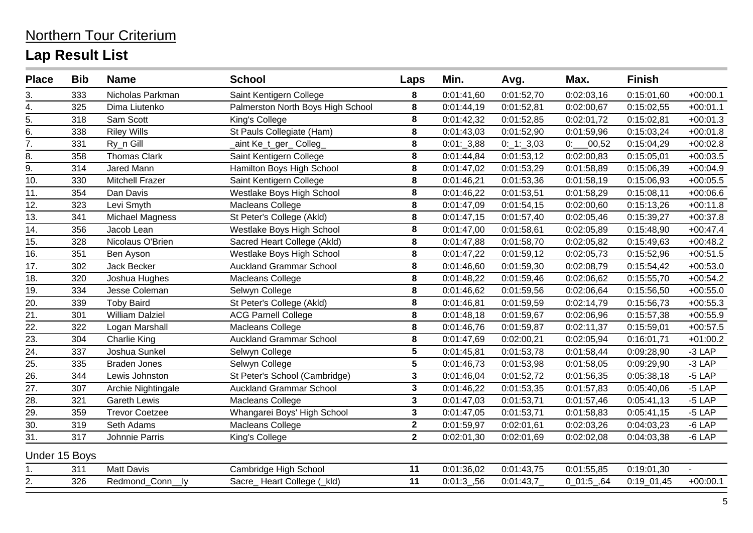#### 3. 333 Nicholas Parkman Saint Kentigern College **8** 0:01:41,60 0:01:52,70 0:02:03,16 0:15:01,60 +00:00.1 4. 325 Dima Liutenko Palmerston North Boys High School **8** 0:01:44,19 0:01:52,81 0:02:00,67 0:15:02,55 +00:01.1 5. 318 Sam Scott King's College **8** 0:01:42,32 0:01:52,85 0:02:01,72 0:15:02,81 +00:01.3 6. 338 Riley Wills St Pauls Collegiate (Ham) **8** 0:01:43,03 0:01:52,90 0:01:59,96 0:15:03,24 +00:01.8 7. 331 Ry\_n Gill \_aint Ke\_t\_ger\_ Colleg\_ **8** 0:01:\_3,88 0:\_1:\_3,03 0:\_\_\_00,52 0:15:04,29 +00:02.8 8. 358 Thomas Clark Saint Kentigern College **8** 0:01:44,84 0:01:53,12 0:02:00,83 0:15:05,01 +00:03.5 9. 314 Jared Mann Hamilton Boys High School **8** 0:01:47,02 0:01:53,29 0:01:58,89 0:15:06,39 +00:04.9 10. 330 Mitchell Frazer Saint Kentigern College **8** 0:01:46,21 0:01:53,36 0:01:58,19 0:15:06,93 +00:05.5 11. 354 Dan Davis Westlake Boys High School **8** 0:01:46,22 0:01:53,51 0:01:58,29 0:15:08,11 +00:06.6 12. 323 Levi Smyth Macleans College **8** 0:01:47,09 0:01:54,15 0:02:00,60 0:15:13,26 +00:11.8 13. 341 Michael Magness St Peter's College (Akld) **8** 0:01:47,15 0:01:57,40 0:02:05,46 0:15:39,27 +00:37.8 14. 356 Jacob Lean Westlake Boys High School **8** 0:01:47,00 0:01:58,61 0:02:05,89 0:15:48,90 +00:47.4 15. 328 Nicolaus O'Brien Sacred Heart College (Akld) **8** 0:01:47,88 0:01:58,70 0:02:05,82 0:15:49,63 +00:48.2 16. 351 Ben Ayson Westlake Boys High School **8** 0:01:47,22 0:01:59,12 0:02:05,73 0:15:52,96 +00:51.5 17. 302 Jack Becker Auckland Grammar School **8** 0:01:46,60 0:01:59,30 0:02:08,79 0:15:54,42 +00:53.0 18. 320 Joshua Hughes Macleans College **8** 0:01:48,22 0:01:59,46 0:02:06,62 0:15:55,70 +00:54.2 19. 334 Jesse Coleman Selwyn College **8** 0:01:46,62 0:01:59,56 0:02:06,64 0:15:56,50 +00:55.0 20. 339 Toby Baird St Peter's College (Akld) **8** 0:01:46,81 0:01:59,59 0:02:14,79 0:15:56,73 +00:55.3 21. 301 William Dalziel ACG Parnell College **8** 0:01:48,18 0:01:59,67 0:02:06,96 0:15:57,38 +00:55.9 22. 322 Logan Marshall Macleans College **8** 0:01:46,76 0:01:59,87 0:02:11,37 0:15:59,01 +00:57.5 23. 304 Charlie King Auckland Grammar School **8** 0:01:47,69 0:02:00,21 0:02:05,94 0:16:01,71 +01:00.2 24. 337 Joshua Sunkel Selwyn College **5** 0:01:45,81 0:01:53,78 0:01:58,44 0:09:28,90 -3 LAP 25. 335 Braden Jones Selwyn College **5** 0:01:46,73 0:01:53,98 0:01:58,05 0:09:29,90 -3 LAP 26. 344 Lewis Johnston St Peter's School (Cambridge) **3** 0:01:46,04 0:01:52,72 0:01:56,35 0:05:38,18 -5 LAP 27. 307 Archie Nightingale Auckland Grammar School **3** 0:01:46,22 0:01:53,35 0:01:57,83 0:05:40,06 -5 LAP 28. 321 Gareth Lewis Macleans College **3** 0:01:47,03 0:01:53,71 0:01:57,46 0:05:41,13 -5 LAP 29. 359 Trevor Coetzee Whangarei Boys' High School **3** 0:01:47,05 0:01:53,71 0:01:58,83 0:05:41,15 -5 LAP 30. 319 Seth Adams Macleans College **2** 0:01:59,97 0:02:01,61 0:02:03,26 0:04:03,23 -6 LAP 31. 317 Johnnie Parris King's College **2** 0:02:01,30 0:02:01,69 0:02:02,08 0:04:03,38 -6 LAP Under 15 Boys 1. 311 Matt Davis Cambridge High School **11** 0:01:36,02 0:01:43,75 0:01:55,85 0:19:01,30 - 2. 326 Redmond\_Conn\_\_ly Sacre\_ Heart College (\_kld) **11** 0:01:3\_,56 0:01:43,7\_ 0\_01:5\_,64 0:19\_01,45 +00:00.1 **Place Bib Name School Laps Min. Avg. Max. Finish**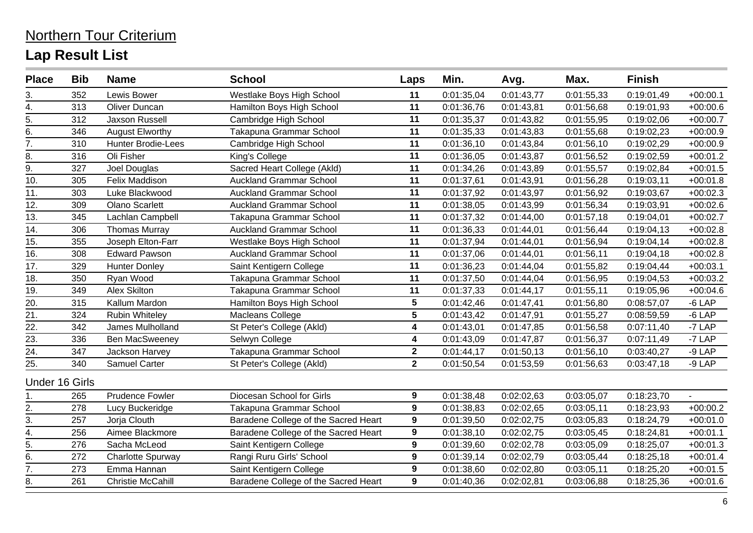#### 3. 352 Lewis Bower Westlake Boys High School **11** 0:01:35,04 0:01:43,77 0:01:55,33 0:19:01,49 +00:00.1 4. 313 Oliver Duncan Hamilton Boys High School **11** 0:01:36,76 0:01:43,81 0:01:56,68 0:19:01,93 +00:00.6 5. 312 Jaxson Russell Cambridge High School **11** 0:01:35,37 0:01:43,82 0:01:55,95 0:19:02,06 +00:00.7 6. 346 August Elworthy Takapuna Grammar School **11** 0:01:35,33 0:01:43,83 0:01:55,68 0:19:02,23 +00:00.9 7. 310 Hunter Brodie-Lees Cambridge High School **11** 0:01:36,10 0:01:43,84 0:01:56,10 0:19:02,29 +00:00.9 8. 316 Oli Fisher King's College **11** 0:01:36,05 0:01:43,87 0:01:56,52 0:19:02,59 +00:01.2 9. 327 Joel Douglas Sacred Heart College (Akld) **11** 0:01:34,26 0:01:43,89 0:01:55,57 0:19:02,84 +00:01.5 10. 305 Felix Maddison Auckland Grammar School **11** 0:01:37,61 0:01:43,91 0:01:56,28 0:19:03,11 +00:01.8 11. 303 Luke Blackwood Auckland Grammar School **11** 0:01:37,92 0:01:43,97 0:01:56,92 0:19:03,67 +00:02.3 12. 309 Olano Scarlett Auckland Grammar School **11** 0:01:38,05 0:01:43,99 0:01:56,34 0:19:03,91 +00:02.6 13. 345 Lachlan Campbell Takapuna Grammar School **11** 0:01:37,32 0:01:44,00 0:01:57,18 0:19:04,01 +00:02.7 14. 306 Thomas Murray Auckland Grammar School **11** 0:01:36,33 0:01:44,01 0:01:56,44 0:19:04,13 +00:02.8 15. 355 Joseph Elton-Farr Westlake Boys High School **11** 0:01:37,94 0:01:44,01 0:01:56,94 0:19:04,14 +00:02.8 16. 308 Edward Pawson Auckland Grammar School **11** 0:01:37,06 0:01:44,01 0:01:56,11 0:19:04,18 +00:02.8 17. 329 Hunter Donley Saint Kentigern College **11** 0:01:36,23 0:01:44,04 0:01:55,82 0:19:04,44 +00:03.1 18. 350 Ryan Wood Takapuna Grammar School **11** 0:01:37,50 0:01:44,04 0:01:56,95 0:19:04,53 +00:03.2 19. 349 Alex Skilton Takapuna Grammar School **11** 0:01:37,33 0:01:44,17 0:01:55,11 0:19:05,96 +00:04.6 20. 315 Kallum Mardon Hamilton Boys High School **5** 0:01:42,46 0:01:47,41 0:01:56,80 0:08:57,07 -6 LAP 21. 324 Rubin Whiteley Macleans College **5** 0:01:43,42 0:01:47,91 0:01:55,27 0:08:59,59 -6 LAP 22. 342 James Mulholland St Peter's College (Akld) **4** 0:01:43,01 0:01:47,85 0:01:56,58 0:07:11,40 -7 LAP 23. 336 Ben MacSweeney Selwyn College **4** 0:01:43,09 0:01:47,87 0:01:56,37 0:07:11,49 -7 LAP 24. 347 Jackson Harvey Takapuna Grammar School **2** 0:01:44,17 0:01:50,13 0:01:56,10 0:03:40,27 -9 LAP 25. 340 Samuel Carter St Peter's College (Akld) **2** 0:01:50,54 0:01:53,59 0:01:56,63 0:03:47,18 -9 LAP Under 16 Girls 1. 265 Prudence Fowler Diocesan School for Girls **9** 0:01:38,48 0:02:02,63 0:03:05,07 0:18:23,70 - 2. 278 Lucy Buckeridge Takapuna Grammar School **9** 0:01:38,83 0:02:02,65 0:03:05,11 0:18:23,93 +00:00.2 3. 257 Jorja Clouth Baradene College of the Sacred Heart **9** 0:01:39,50 0:02:02,75 0:03:05,83 0:18:24,79 +00:01.0 4. 256 Aimee Blackmore Baradene College of the Sacred Heart **9** 0:01:38,10 0:02:02,75 0:03:05,45 0:18:24,81 +00:01.1 5. 276 Sacha McLeod Saint Kentigern College **9** 0:01:39,60 0:02:02,78 0:03:05,09 0:18:25,07 +00:01.3 6. 272 Charlotte Spurway Rangi Ruru Girls' School **9** 0:01:39,14 0:02:02,79 0:03:05,44 0:18:25,18 +00:01.4 7. 273 Emma Hannan Saint Kentigern College **9** 0:01:38,60 0:02:02,80 0:03:05,11 0:18:25,20 +00:01.5 **Place Bib Name School Laps Min. Avg. Max. Finish**

8. 261 Christie McCahill Baradene College of the Sacred Heart **9** 0:01:40,36 0:02:02,81 0:03:06,88 0:18:25,36 +00:01.6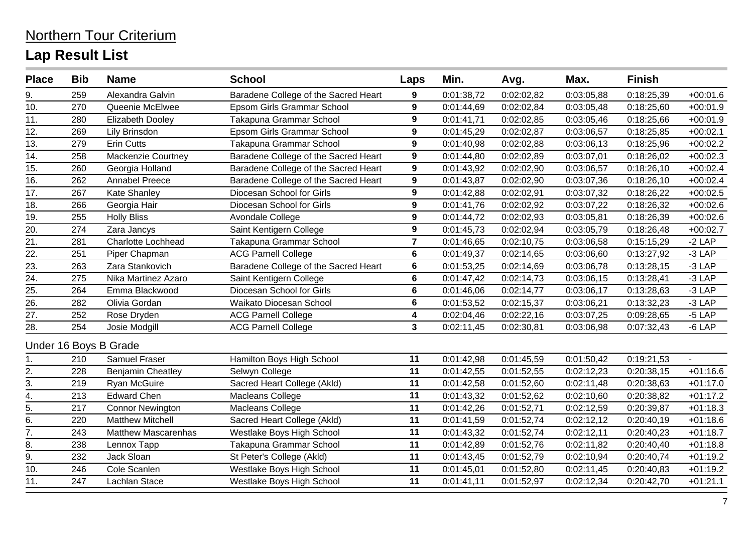#### 9. 259 Alexandra Galvin Baradene College of the Sacred Heart **9** 0:01:38,72 0:02:02,82 0:03:05,88 0:18:25,39 +00:01.6 10. 270 Queenie McElwee Epsom Girls Grammar School **9** 0:01:44,69 0:02:02,84 0:03:05,48 0:18:25,60 +00:01.9 11. 280 Elizabeth Dooley Takapuna Grammar School **9** 0:01:41,71 0:02:02,85 0:03:05,46 0:18:25,66 +00:01.9 12. 269 Lily Brinsdon Epsom Girls Grammar School **9** 0:01:45,29 0:02:02,87 0:03:06,57 0:18:25,85 +00:02.1 13. 279 Erin Cutts Takapuna Grammar School **9** 0:01:40,98 0:02:02,88 0:03:06,13 0:18:25,96 +00:02.2 14. 258 Mackenzie Courtney Baradene College of the Sacred Heart **9** 0:01:44,80 0:02:02,89 0:03:07,01 0:18:26,02 +00:02.3 15. 260 Georgia Holland Baradene College of the Sacred Heart **9** 0:01:43,92 0:02:02,90 0:03:06,57 0:18:26,10 +00:02.4 16. 262 Annabel Preece Baradene College of the Sacred Heart **9** 0:01:43,87 0:02:02,90 0:03:07,36 0:18:26,10 +00:02.4 17. 267 Kate Shanley Diocesan School for Girls **9** 0:01:42,88 0:02:02,91 0:03:07,32 0:18:26,22 +00:02.5 18. 266 Georgia Hair Diocesan School for Girls **9** 0:01:41,76 0:02:02,92 0:03:07,22 0:18:26,32 +00:02.6 19. 255 Holly Bliss Avondale College **9** 0:01:44,72 0:02:02,93 0:03:05,81 0:18:26,39 +00:02.6 20. 274 Zara Jancys Saint Kentigern College **9** 0:01:45,73 0:02:02,94 0:03:05,79 0:18:26,48 +00:02.7 21. 281 Charlotte Lochhead Takapuna Grammar School **7** 0:01:46,65 0:02:10,75 0:03:06,58 0:15:15,29 -2 LAP 22. 251 Piper Chapman ACG Parnell College **6** 0:01:49,37 0:02:14,65 0:03:06,60 0:13:27,92 -3 LAP 23. 263 Zara Stankovich Baradene College of the Sacred Heart **6** 0:01:53,25 0:02:14,69 0:03:06,78 0:13:28,15 -3 LAP 24. 275 Nika Martinez Azaro Saint Kentigern College **6** 0:01:47,42 0:02:14,73 0:03:06,15 0:13:28,41 -3 LAP 25. 264 Emma Blackwood Diocesan School for Girls **6** 0:01:46,06 0:02:14,77 0:03:06,17 0:13:28,63 -3 LAP 26. 282 Olivia Gordan Waikato Diocesan School **6** 0:01:53,52 0:02:15,37 0:03:06,21 0:13:32,23 -3 LAP 27. 252 Rose Dryden ACG Parnell College **4** 0:02:04,46 0:02:22,16 0:03:07,25 0:09:28,65 -5 LAP 28. 254 Josie Modgill ACG Parnell College **3** 0:02:11,45 0:02:30,81 0:03:06,98 0:07:32,43 -6 LAP Under 16 Boys B Grade 1. 210 Samuel Fraser Hamilton Boys High School **11** 0:01:42,98 0:01:45,59 0:01:50,42 0:19:21,53 - 2. 228 Benjamin Cheatley Selwyn College **11** 0:01:42,55 0:01:52,55 0:02:12,23 0:20:38,15 +01:16.6 3. 219 Ryan McGuire Sacred Heart College (Akld) **11** 0:01:42,58 0:01:52,60 0:02:11,48 0:20:38,63 +01:17.0 4. 213 Edward Chen Macleans College **11** 0:01:43,32 0:01:52,62 0:02:10,60 0:20:38,82 +01:17.2 5. 217 Connor Newington Macleans College **11** 0:01:42,26 0:01:52,71 0:02:12,59 0:20:39,87 +01:18.3 6. 220 Matthew Mitchell Sacred Heart College (Akld) **11** 0:01:41,59 0:01:52,74 0:02:12,12 0:20:40,19 +01:18.6 7. 243 Matthew Mascarenhas Westlake Boys High School **11** 0:01:43,32 0:01:52,74 0:02:12,11 0:20:40,23 +01:18.7 8. 238 Lennox Tapp Takapuna Grammar School **11** 0:01:42,89 0:01:52,76 0:02:11,82 0:20:40,40 +01:18.8 9. 232 Jack Sloan St Peter's College (Akld) **11** 0:01:43,45 0:01:52,79 0:02:10,94 0:20:40,74 +01:19.2 10. 246 Cole Scanlen Westlake Boys High School **11** 0:01:45,01 0:01:52,80 0:02:11,45 0:20:40,83 +01:19.2 11. 247 Lachlan Stace Westlake Boys High School **11** 0:01:41,11 0:01:52,97 0:02:12,34 0:20:42,70 +01:21.1 **Place Bib Name School Laps Min. Avg. Max. Finish**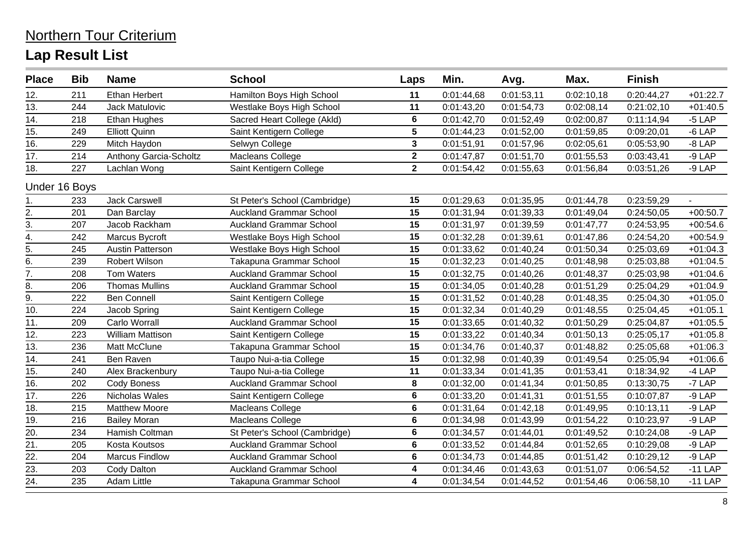| 11<br>12.<br><b>Ethan Herbert</b><br>Hamilton Boys High School<br>0:01:44,68<br>0:01:53,11<br>0:02:10,18<br>0:20:44,27<br>211<br>13.<br>244<br><b>Jack Matulovic</b><br>Westlake Boys High School<br>11<br>0:01:43,20<br>0:01:54,73<br>0:02:08,14<br>0:21:02,10<br>14.<br>$6\phantom{a}$<br>0:01:42,70<br>218<br>Ethan Hughes<br>Sacred Heart College (Akld)<br>0:01:52,49<br>0:02:00,87<br>0:11:14,94<br>$5\phantom{1}$<br>15.<br>Saint Kentigern College<br>0:01:44,23<br>249<br><b>Elliott Quinn</b><br>0:01:52,00<br>0:01:59,85<br>0:09:20,01<br>16.<br>$\mathbf{3}$<br>229<br>Selwyn College<br>0:01:51,91<br>Mitch Haydon<br>0:01:57,96<br>0:02:05,61<br>0:05:53,90<br>$\overline{2}$<br>17.<br>214<br>Macleans College<br><b>Anthony Garcia-Scholtz</b><br>0:01:47,87<br>0:03:43,41<br>0:01:51,70<br>0:01:55,53<br>18.<br>Saint Kentigern College<br>$\overline{\mathbf{2}}$<br>227<br>Lachlan Wong<br>0:01:54,42<br>0:01:55,63<br>0:01:56,84<br>0:03:51,26<br>Under 16 Boys<br>15<br>0:01:29,63<br><b>Jack Carswell</b><br>St Peter's School (Cambridge)<br>0:01:35,95<br>0:01:44,78<br>0:23:59,29<br>233<br>1.<br>15<br>$\frac{2}{3}$ .<br><b>Auckland Grammar School</b><br>0:01:31,94<br>201<br>Dan Barclay<br>0:01:39,33<br>0:01:49,04<br>0:24:50,05<br>15<br>207<br>Jacob Rackham<br><b>Auckland Grammar School</b><br>0:01:31,97<br>0:01:39,59<br>0:01:47,77<br>0:24:53,95<br>4.<br>15<br>0:01:32,28<br>242<br>Marcus Bycroft<br>Westlake Boys High School<br>0:01:39,61<br>0:24:54,20<br>0:01:47,86<br>$\overline{5}$ .<br>15<br>0:01:33,62<br>245<br><b>Austin Patterson</b><br>Westlake Boys High School<br>0:01:40,24<br>0:01:50,34<br>0:25:03,69<br>$\underline{6}$ .<br>$\overline{15}$<br>Robert Wilson<br>0:01:32,23<br>239<br>Takapuna Grammar School<br>0:01:40,25<br>0:01:48,98<br>0:25:03,88<br>7.<br>15<br>208<br>0:01:32,75<br><b>Tom Waters</b><br><b>Auckland Grammar School</b><br>0:01:40,26<br>0:01:48,37<br>0:25:03,98<br>8.<br>15<br>206<br><b>Thomas Mullins</b><br><b>Auckland Grammar School</b><br>0:01:34,05<br>0:01:51,29<br>0:25:04,29<br>0:01:40,28<br>$\overline{9}$ .<br>15<br><b>Ben Connell</b><br>222<br>Saint Kentigern College<br>0:01:31,52<br>0:01:40,28<br>0:01:48,35<br>0:25:04,30<br>$\overline{10}$ .<br>15<br>224<br>0:01:32,34<br>0:25:04,45<br>Saint Kentigern College<br>0:01:40,29<br>0:01:48,55<br>Jacob Spring<br>15<br>11.<br>209<br><b>Auckland Grammar School</b><br>0:01:33,65<br>Carlo Worrall<br>0:01:40,32<br>0:01:50,29<br>0:25:04,87<br>12.<br>15<br>William Mattison<br>Saint Kentigern College<br>0:01:33,22<br>0:01:50,13<br>223<br>0:01:40,34<br>0:25:05,17<br>15<br>13.<br>Takapuna Grammar School<br>236<br>Matt McClune<br>0:01:34,76<br>0:25:05,68<br>0:01:40,37<br>0:01:48,82<br>15<br>14.<br>241<br>Ben Raven<br>Taupo Nui-a-tia College<br>0:01:32,98<br>0:01:40,39<br>0:01:49,54<br>0:25:05,94<br>15.<br>Taupo Nui-a-tia College<br>0:01:33,34<br>0:01:41,35<br>0:01:53,41<br>0:18:34,92<br>240<br>Alex Brackenbury<br>11<br>16.<br>8<br><b>Cody Boness</b><br><b>Auckland Grammar School</b><br>0:01:32,00<br>0:01:41,34<br>0:01:50,85<br>0:13:30,75<br>202<br>$\overline{17}$ .<br>226<br>Nicholas Wales<br>$\bf 6$<br>0:01:33,20<br>0:01:41,31<br>0:01:51,55<br>0:10:07,87<br>Saint Kentigern College<br>$6\phantom{a}$<br>18.<br>215<br>Macleans College<br>0:01:31,64<br><b>Matthew Moore</b><br>0:01:42,18<br>0:01:49,95<br>0:10:13,11<br>19.<br>$6\phantom{a}$<br>216<br><b>Bailey Moran</b><br>Macleans College<br>0:01:34,98<br>0:01:43,99<br>0:01:54,22<br>0:10:23,97<br>$\overline{20}$<br>$6\phantom{a}$<br>234<br>Hamish Coltman<br>0:01:34,57<br>0:01:44,01<br>0:01:49,52<br>0:10:24,08<br>St Peter's School (Cambridge)<br>$\overline{21}$ .<br>$6\phantom{1}$<br><b>Kosta Koutsos</b><br><b>Auckland Grammar School</b><br>0:01:33,52<br>205<br>0:01:44,84<br>0:01:52,65<br>0:10:29,08<br>$\frac{22}{23}$<br>$\frac{23}{24}$<br>$6\phantom{a}$<br>204<br><b>Marcus Findlow</b><br><b>Auckland Grammar School</b><br>0:01:34,73<br>0:01:44,85<br>0:01:51,42<br>0:10:29,12<br>$\overline{\mathbf{4}}$<br>203<br><b>Auckland Grammar School</b><br>0:01:34,46<br>0:01:51,07<br>0:06:54,52<br><b>Cody Dalton</b><br>0:01:43,63 | <b>Place</b> | <b>Bib</b> | <b>Name</b> | <b>School</b> | Laps | Min. | Avg. | Max. | <b>Finish</b> |            |
|--------------------------------------------------------------------------------------------------------------------------------------------------------------------------------------------------------------------------------------------------------------------------------------------------------------------------------------------------------------------------------------------------------------------------------------------------------------------------------------------------------------------------------------------------------------------------------------------------------------------------------------------------------------------------------------------------------------------------------------------------------------------------------------------------------------------------------------------------------------------------------------------------------------------------------------------------------------------------------------------------------------------------------------------------------------------------------------------------------------------------------------------------------------------------------------------------------------------------------------------------------------------------------------------------------------------------------------------------------------------------------------------------------------------------------------------------------------------------------------------------------------------------------------------------------------------------------------------------------------------------------------------------------------------------------------------------------------------------------------------------------------------------------------------------------------------------------------------------------------------------------------------------------------------------------------------------------------------------------------------------------------------------------------------------------------------------------------------------------------------------------------------------------------------------------------------------------------------------------------------------------------------------------------------------------------------------------------------------------------------------------------------------------------------------------------------------------------------------------------------------------------------------------------------------------------------------------------------------------------------------------------------------------------------------------------------------------------------------------------------------------------------------------------------------------------------------------------------------------------------------------------------------------------------------------------------------------------------------------------------------------------------------------------------------------------------------------------------------------------------------------------------------------------------------------------------------------------------------------------------------------------------------------------------------------------------------------------------------------------------------------------------------------------------------------------------------------------------------------------------------------------------------------------------------------------------------------------------------------------------------------------------------------------------------------------------------------------------------------------------------------------------------------------------------------------------------------------------------------------------------------------------------------------------------------------------------------------------------------------------------------------------------------------------------------------------------------------------------------------------------------------------------------------------------------------------------------------------------------|--------------|------------|-------------|---------------|------|------|------|------|---------------|------------|
|                                                                                                                                                                                                                                                                                                                                                                                                                                                                                                                                                                                                                                                                                                                                                                                                                                                                                                                                                                                                                                                                                                                                                                                                                                                                                                                                                                                                                                                                                                                                                                                                                                                                                                                                                                                                                                                                                                                                                                                                                                                                                                                                                                                                                                                                                                                                                                                                                                                                                                                                                                                                                                                                                                                                                                                                                                                                                                                                                                                                                                                                                                                                                                                                                                                                                                                                                                                                                                                                                                                                                                                                                                                                                                                                                                                                                                                                                                                                                                                                                                                                                                                                                                                                                                |              |            |             |               |      |      |      |      |               | $+01:22.7$ |
|                                                                                                                                                                                                                                                                                                                                                                                                                                                                                                                                                                                                                                                                                                                                                                                                                                                                                                                                                                                                                                                                                                                                                                                                                                                                                                                                                                                                                                                                                                                                                                                                                                                                                                                                                                                                                                                                                                                                                                                                                                                                                                                                                                                                                                                                                                                                                                                                                                                                                                                                                                                                                                                                                                                                                                                                                                                                                                                                                                                                                                                                                                                                                                                                                                                                                                                                                                                                                                                                                                                                                                                                                                                                                                                                                                                                                                                                                                                                                                                                                                                                                                                                                                                                                                |              |            |             |               |      |      |      |      |               | $+01:40.5$ |
|                                                                                                                                                                                                                                                                                                                                                                                                                                                                                                                                                                                                                                                                                                                                                                                                                                                                                                                                                                                                                                                                                                                                                                                                                                                                                                                                                                                                                                                                                                                                                                                                                                                                                                                                                                                                                                                                                                                                                                                                                                                                                                                                                                                                                                                                                                                                                                                                                                                                                                                                                                                                                                                                                                                                                                                                                                                                                                                                                                                                                                                                                                                                                                                                                                                                                                                                                                                                                                                                                                                                                                                                                                                                                                                                                                                                                                                                                                                                                                                                                                                                                                                                                                                                                                |              |            |             |               |      |      |      |      |               | $-5$ LAP   |
|                                                                                                                                                                                                                                                                                                                                                                                                                                                                                                                                                                                                                                                                                                                                                                                                                                                                                                                                                                                                                                                                                                                                                                                                                                                                                                                                                                                                                                                                                                                                                                                                                                                                                                                                                                                                                                                                                                                                                                                                                                                                                                                                                                                                                                                                                                                                                                                                                                                                                                                                                                                                                                                                                                                                                                                                                                                                                                                                                                                                                                                                                                                                                                                                                                                                                                                                                                                                                                                                                                                                                                                                                                                                                                                                                                                                                                                                                                                                                                                                                                                                                                                                                                                                                                |              |            |             |               |      |      |      |      |               | $-6$ LAP   |
|                                                                                                                                                                                                                                                                                                                                                                                                                                                                                                                                                                                                                                                                                                                                                                                                                                                                                                                                                                                                                                                                                                                                                                                                                                                                                                                                                                                                                                                                                                                                                                                                                                                                                                                                                                                                                                                                                                                                                                                                                                                                                                                                                                                                                                                                                                                                                                                                                                                                                                                                                                                                                                                                                                                                                                                                                                                                                                                                                                                                                                                                                                                                                                                                                                                                                                                                                                                                                                                                                                                                                                                                                                                                                                                                                                                                                                                                                                                                                                                                                                                                                                                                                                                                                                |              |            |             |               |      |      |      |      |               | $-8$ LAP   |
|                                                                                                                                                                                                                                                                                                                                                                                                                                                                                                                                                                                                                                                                                                                                                                                                                                                                                                                                                                                                                                                                                                                                                                                                                                                                                                                                                                                                                                                                                                                                                                                                                                                                                                                                                                                                                                                                                                                                                                                                                                                                                                                                                                                                                                                                                                                                                                                                                                                                                                                                                                                                                                                                                                                                                                                                                                                                                                                                                                                                                                                                                                                                                                                                                                                                                                                                                                                                                                                                                                                                                                                                                                                                                                                                                                                                                                                                                                                                                                                                                                                                                                                                                                                                                                |              |            |             |               |      |      |      |      |               | $-9$ LAP   |
|                                                                                                                                                                                                                                                                                                                                                                                                                                                                                                                                                                                                                                                                                                                                                                                                                                                                                                                                                                                                                                                                                                                                                                                                                                                                                                                                                                                                                                                                                                                                                                                                                                                                                                                                                                                                                                                                                                                                                                                                                                                                                                                                                                                                                                                                                                                                                                                                                                                                                                                                                                                                                                                                                                                                                                                                                                                                                                                                                                                                                                                                                                                                                                                                                                                                                                                                                                                                                                                                                                                                                                                                                                                                                                                                                                                                                                                                                                                                                                                                                                                                                                                                                                                                                                |              |            |             |               |      |      |      |      |               | $-9$ LAP   |
|                                                                                                                                                                                                                                                                                                                                                                                                                                                                                                                                                                                                                                                                                                                                                                                                                                                                                                                                                                                                                                                                                                                                                                                                                                                                                                                                                                                                                                                                                                                                                                                                                                                                                                                                                                                                                                                                                                                                                                                                                                                                                                                                                                                                                                                                                                                                                                                                                                                                                                                                                                                                                                                                                                                                                                                                                                                                                                                                                                                                                                                                                                                                                                                                                                                                                                                                                                                                                                                                                                                                                                                                                                                                                                                                                                                                                                                                                                                                                                                                                                                                                                                                                                                                                                |              |            |             |               |      |      |      |      |               |            |
|                                                                                                                                                                                                                                                                                                                                                                                                                                                                                                                                                                                                                                                                                                                                                                                                                                                                                                                                                                                                                                                                                                                                                                                                                                                                                                                                                                                                                                                                                                                                                                                                                                                                                                                                                                                                                                                                                                                                                                                                                                                                                                                                                                                                                                                                                                                                                                                                                                                                                                                                                                                                                                                                                                                                                                                                                                                                                                                                                                                                                                                                                                                                                                                                                                                                                                                                                                                                                                                                                                                                                                                                                                                                                                                                                                                                                                                                                                                                                                                                                                                                                                                                                                                                                                |              |            |             |               |      |      |      |      |               |            |
|                                                                                                                                                                                                                                                                                                                                                                                                                                                                                                                                                                                                                                                                                                                                                                                                                                                                                                                                                                                                                                                                                                                                                                                                                                                                                                                                                                                                                                                                                                                                                                                                                                                                                                                                                                                                                                                                                                                                                                                                                                                                                                                                                                                                                                                                                                                                                                                                                                                                                                                                                                                                                                                                                                                                                                                                                                                                                                                                                                                                                                                                                                                                                                                                                                                                                                                                                                                                                                                                                                                                                                                                                                                                                                                                                                                                                                                                                                                                                                                                                                                                                                                                                                                                                                |              |            |             |               |      |      |      |      |               | $+00:50.7$ |
|                                                                                                                                                                                                                                                                                                                                                                                                                                                                                                                                                                                                                                                                                                                                                                                                                                                                                                                                                                                                                                                                                                                                                                                                                                                                                                                                                                                                                                                                                                                                                                                                                                                                                                                                                                                                                                                                                                                                                                                                                                                                                                                                                                                                                                                                                                                                                                                                                                                                                                                                                                                                                                                                                                                                                                                                                                                                                                                                                                                                                                                                                                                                                                                                                                                                                                                                                                                                                                                                                                                                                                                                                                                                                                                                                                                                                                                                                                                                                                                                                                                                                                                                                                                                                                |              |            |             |               |      |      |      |      |               | $+00:54.6$ |
|                                                                                                                                                                                                                                                                                                                                                                                                                                                                                                                                                                                                                                                                                                                                                                                                                                                                                                                                                                                                                                                                                                                                                                                                                                                                                                                                                                                                                                                                                                                                                                                                                                                                                                                                                                                                                                                                                                                                                                                                                                                                                                                                                                                                                                                                                                                                                                                                                                                                                                                                                                                                                                                                                                                                                                                                                                                                                                                                                                                                                                                                                                                                                                                                                                                                                                                                                                                                                                                                                                                                                                                                                                                                                                                                                                                                                                                                                                                                                                                                                                                                                                                                                                                                                                |              |            |             |               |      |      |      |      |               | $+00:54.9$ |
|                                                                                                                                                                                                                                                                                                                                                                                                                                                                                                                                                                                                                                                                                                                                                                                                                                                                                                                                                                                                                                                                                                                                                                                                                                                                                                                                                                                                                                                                                                                                                                                                                                                                                                                                                                                                                                                                                                                                                                                                                                                                                                                                                                                                                                                                                                                                                                                                                                                                                                                                                                                                                                                                                                                                                                                                                                                                                                                                                                                                                                                                                                                                                                                                                                                                                                                                                                                                                                                                                                                                                                                                                                                                                                                                                                                                                                                                                                                                                                                                                                                                                                                                                                                                                                |              |            |             |               |      |      |      |      |               | $+01:04.3$ |
|                                                                                                                                                                                                                                                                                                                                                                                                                                                                                                                                                                                                                                                                                                                                                                                                                                                                                                                                                                                                                                                                                                                                                                                                                                                                                                                                                                                                                                                                                                                                                                                                                                                                                                                                                                                                                                                                                                                                                                                                                                                                                                                                                                                                                                                                                                                                                                                                                                                                                                                                                                                                                                                                                                                                                                                                                                                                                                                                                                                                                                                                                                                                                                                                                                                                                                                                                                                                                                                                                                                                                                                                                                                                                                                                                                                                                                                                                                                                                                                                                                                                                                                                                                                                                                |              |            |             |               |      |      |      |      |               | $+01:04.5$ |
|                                                                                                                                                                                                                                                                                                                                                                                                                                                                                                                                                                                                                                                                                                                                                                                                                                                                                                                                                                                                                                                                                                                                                                                                                                                                                                                                                                                                                                                                                                                                                                                                                                                                                                                                                                                                                                                                                                                                                                                                                                                                                                                                                                                                                                                                                                                                                                                                                                                                                                                                                                                                                                                                                                                                                                                                                                                                                                                                                                                                                                                                                                                                                                                                                                                                                                                                                                                                                                                                                                                                                                                                                                                                                                                                                                                                                                                                                                                                                                                                                                                                                                                                                                                                                                |              |            |             |               |      |      |      |      |               | $+01:04.6$ |
|                                                                                                                                                                                                                                                                                                                                                                                                                                                                                                                                                                                                                                                                                                                                                                                                                                                                                                                                                                                                                                                                                                                                                                                                                                                                                                                                                                                                                                                                                                                                                                                                                                                                                                                                                                                                                                                                                                                                                                                                                                                                                                                                                                                                                                                                                                                                                                                                                                                                                                                                                                                                                                                                                                                                                                                                                                                                                                                                                                                                                                                                                                                                                                                                                                                                                                                                                                                                                                                                                                                                                                                                                                                                                                                                                                                                                                                                                                                                                                                                                                                                                                                                                                                                                                |              |            |             |               |      |      |      |      |               | $+01:04.9$ |
|                                                                                                                                                                                                                                                                                                                                                                                                                                                                                                                                                                                                                                                                                                                                                                                                                                                                                                                                                                                                                                                                                                                                                                                                                                                                                                                                                                                                                                                                                                                                                                                                                                                                                                                                                                                                                                                                                                                                                                                                                                                                                                                                                                                                                                                                                                                                                                                                                                                                                                                                                                                                                                                                                                                                                                                                                                                                                                                                                                                                                                                                                                                                                                                                                                                                                                                                                                                                                                                                                                                                                                                                                                                                                                                                                                                                                                                                                                                                                                                                                                                                                                                                                                                                                                |              |            |             |               |      |      |      |      |               | $+01:05.0$ |
|                                                                                                                                                                                                                                                                                                                                                                                                                                                                                                                                                                                                                                                                                                                                                                                                                                                                                                                                                                                                                                                                                                                                                                                                                                                                                                                                                                                                                                                                                                                                                                                                                                                                                                                                                                                                                                                                                                                                                                                                                                                                                                                                                                                                                                                                                                                                                                                                                                                                                                                                                                                                                                                                                                                                                                                                                                                                                                                                                                                                                                                                                                                                                                                                                                                                                                                                                                                                                                                                                                                                                                                                                                                                                                                                                                                                                                                                                                                                                                                                                                                                                                                                                                                                                                |              |            |             |               |      |      |      |      |               | $+01:05.1$ |
|                                                                                                                                                                                                                                                                                                                                                                                                                                                                                                                                                                                                                                                                                                                                                                                                                                                                                                                                                                                                                                                                                                                                                                                                                                                                                                                                                                                                                                                                                                                                                                                                                                                                                                                                                                                                                                                                                                                                                                                                                                                                                                                                                                                                                                                                                                                                                                                                                                                                                                                                                                                                                                                                                                                                                                                                                                                                                                                                                                                                                                                                                                                                                                                                                                                                                                                                                                                                                                                                                                                                                                                                                                                                                                                                                                                                                                                                                                                                                                                                                                                                                                                                                                                                                                |              |            |             |               |      |      |      |      |               | $+01:05.5$ |
|                                                                                                                                                                                                                                                                                                                                                                                                                                                                                                                                                                                                                                                                                                                                                                                                                                                                                                                                                                                                                                                                                                                                                                                                                                                                                                                                                                                                                                                                                                                                                                                                                                                                                                                                                                                                                                                                                                                                                                                                                                                                                                                                                                                                                                                                                                                                                                                                                                                                                                                                                                                                                                                                                                                                                                                                                                                                                                                                                                                                                                                                                                                                                                                                                                                                                                                                                                                                                                                                                                                                                                                                                                                                                                                                                                                                                                                                                                                                                                                                                                                                                                                                                                                                                                |              |            |             |               |      |      |      |      |               | $+01:05.8$ |
|                                                                                                                                                                                                                                                                                                                                                                                                                                                                                                                                                                                                                                                                                                                                                                                                                                                                                                                                                                                                                                                                                                                                                                                                                                                                                                                                                                                                                                                                                                                                                                                                                                                                                                                                                                                                                                                                                                                                                                                                                                                                                                                                                                                                                                                                                                                                                                                                                                                                                                                                                                                                                                                                                                                                                                                                                                                                                                                                                                                                                                                                                                                                                                                                                                                                                                                                                                                                                                                                                                                                                                                                                                                                                                                                                                                                                                                                                                                                                                                                                                                                                                                                                                                                                                |              |            |             |               |      |      |      |      |               | $+01:06.3$ |
|                                                                                                                                                                                                                                                                                                                                                                                                                                                                                                                                                                                                                                                                                                                                                                                                                                                                                                                                                                                                                                                                                                                                                                                                                                                                                                                                                                                                                                                                                                                                                                                                                                                                                                                                                                                                                                                                                                                                                                                                                                                                                                                                                                                                                                                                                                                                                                                                                                                                                                                                                                                                                                                                                                                                                                                                                                                                                                                                                                                                                                                                                                                                                                                                                                                                                                                                                                                                                                                                                                                                                                                                                                                                                                                                                                                                                                                                                                                                                                                                                                                                                                                                                                                                                                |              |            |             |               |      |      |      |      |               | $+01:06.6$ |
|                                                                                                                                                                                                                                                                                                                                                                                                                                                                                                                                                                                                                                                                                                                                                                                                                                                                                                                                                                                                                                                                                                                                                                                                                                                                                                                                                                                                                                                                                                                                                                                                                                                                                                                                                                                                                                                                                                                                                                                                                                                                                                                                                                                                                                                                                                                                                                                                                                                                                                                                                                                                                                                                                                                                                                                                                                                                                                                                                                                                                                                                                                                                                                                                                                                                                                                                                                                                                                                                                                                                                                                                                                                                                                                                                                                                                                                                                                                                                                                                                                                                                                                                                                                                                                |              |            |             |               |      |      |      |      |               | $-4$ LAP   |
|                                                                                                                                                                                                                                                                                                                                                                                                                                                                                                                                                                                                                                                                                                                                                                                                                                                                                                                                                                                                                                                                                                                                                                                                                                                                                                                                                                                                                                                                                                                                                                                                                                                                                                                                                                                                                                                                                                                                                                                                                                                                                                                                                                                                                                                                                                                                                                                                                                                                                                                                                                                                                                                                                                                                                                                                                                                                                                                                                                                                                                                                                                                                                                                                                                                                                                                                                                                                                                                                                                                                                                                                                                                                                                                                                                                                                                                                                                                                                                                                                                                                                                                                                                                                                                |              |            |             |               |      |      |      |      |               | -7 LAP     |
|                                                                                                                                                                                                                                                                                                                                                                                                                                                                                                                                                                                                                                                                                                                                                                                                                                                                                                                                                                                                                                                                                                                                                                                                                                                                                                                                                                                                                                                                                                                                                                                                                                                                                                                                                                                                                                                                                                                                                                                                                                                                                                                                                                                                                                                                                                                                                                                                                                                                                                                                                                                                                                                                                                                                                                                                                                                                                                                                                                                                                                                                                                                                                                                                                                                                                                                                                                                                                                                                                                                                                                                                                                                                                                                                                                                                                                                                                                                                                                                                                                                                                                                                                                                                                                |              |            |             |               |      |      |      |      |               | $-9$ LAP   |
|                                                                                                                                                                                                                                                                                                                                                                                                                                                                                                                                                                                                                                                                                                                                                                                                                                                                                                                                                                                                                                                                                                                                                                                                                                                                                                                                                                                                                                                                                                                                                                                                                                                                                                                                                                                                                                                                                                                                                                                                                                                                                                                                                                                                                                                                                                                                                                                                                                                                                                                                                                                                                                                                                                                                                                                                                                                                                                                                                                                                                                                                                                                                                                                                                                                                                                                                                                                                                                                                                                                                                                                                                                                                                                                                                                                                                                                                                                                                                                                                                                                                                                                                                                                                                                |              |            |             |               |      |      |      |      |               | -9 LAP     |
|                                                                                                                                                                                                                                                                                                                                                                                                                                                                                                                                                                                                                                                                                                                                                                                                                                                                                                                                                                                                                                                                                                                                                                                                                                                                                                                                                                                                                                                                                                                                                                                                                                                                                                                                                                                                                                                                                                                                                                                                                                                                                                                                                                                                                                                                                                                                                                                                                                                                                                                                                                                                                                                                                                                                                                                                                                                                                                                                                                                                                                                                                                                                                                                                                                                                                                                                                                                                                                                                                                                                                                                                                                                                                                                                                                                                                                                                                                                                                                                                                                                                                                                                                                                                                                |              |            |             |               |      |      |      |      |               | $-9$ LAP   |
|                                                                                                                                                                                                                                                                                                                                                                                                                                                                                                                                                                                                                                                                                                                                                                                                                                                                                                                                                                                                                                                                                                                                                                                                                                                                                                                                                                                                                                                                                                                                                                                                                                                                                                                                                                                                                                                                                                                                                                                                                                                                                                                                                                                                                                                                                                                                                                                                                                                                                                                                                                                                                                                                                                                                                                                                                                                                                                                                                                                                                                                                                                                                                                                                                                                                                                                                                                                                                                                                                                                                                                                                                                                                                                                                                                                                                                                                                                                                                                                                                                                                                                                                                                                                                                |              |            |             |               |      |      |      |      |               | $-9$ LAP   |
|                                                                                                                                                                                                                                                                                                                                                                                                                                                                                                                                                                                                                                                                                                                                                                                                                                                                                                                                                                                                                                                                                                                                                                                                                                                                                                                                                                                                                                                                                                                                                                                                                                                                                                                                                                                                                                                                                                                                                                                                                                                                                                                                                                                                                                                                                                                                                                                                                                                                                                                                                                                                                                                                                                                                                                                                                                                                                                                                                                                                                                                                                                                                                                                                                                                                                                                                                                                                                                                                                                                                                                                                                                                                                                                                                                                                                                                                                                                                                                                                                                                                                                                                                                                                                                |              |            |             |               |      |      |      |      |               | $-9$ LAP   |
|                                                                                                                                                                                                                                                                                                                                                                                                                                                                                                                                                                                                                                                                                                                                                                                                                                                                                                                                                                                                                                                                                                                                                                                                                                                                                                                                                                                                                                                                                                                                                                                                                                                                                                                                                                                                                                                                                                                                                                                                                                                                                                                                                                                                                                                                                                                                                                                                                                                                                                                                                                                                                                                                                                                                                                                                                                                                                                                                                                                                                                                                                                                                                                                                                                                                                                                                                                                                                                                                                                                                                                                                                                                                                                                                                                                                                                                                                                                                                                                                                                                                                                                                                                                                                                |              |            |             |               |      |      |      |      |               | $-9$ LAP   |
|                                                                                                                                                                                                                                                                                                                                                                                                                                                                                                                                                                                                                                                                                                                                                                                                                                                                                                                                                                                                                                                                                                                                                                                                                                                                                                                                                                                                                                                                                                                                                                                                                                                                                                                                                                                                                                                                                                                                                                                                                                                                                                                                                                                                                                                                                                                                                                                                                                                                                                                                                                                                                                                                                                                                                                                                                                                                                                                                                                                                                                                                                                                                                                                                                                                                                                                                                                                                                                                                                                                                                                                                                                                                                                                                                                                                                                                                                                                                                                                                                                                                                                                                                                                                                                |              |            |             |               |      |      |      |      |               | $-11$ LAP  |
| 235<br>Takapuna Grammar School<br>$\overline{\mathbf{4}}$<br>Adam Little<br>0:01:34,54<br>0:01:44,52<br>0:01:54,46<br>0:06:58,10                                                                                                                                                                                                                                                                                                                                                                                                                                                                                                                                                                                                                                                                                                                                                                                                                                                                                                                                                                                                                                                                                                                                                                                                                                                                                                                                                                                                                                                                                                                                                                                                                                                                                                                                                                                                                                                                                                                                                                                                                                                                                                                                                                                                                                                                                                                                                                                                                                                                                                                                                                                                                                                                                                                                                                                                                                                                                                                                                                                                                                                                                                                                                                                                                                                                                                                                                                                                                                                                                                                                                                                                                                                                                                                                                                                                                                                                                                                                                                                                                                                                                               |              |            |             |               |      |      |      |      |               | $-11$ LAP  |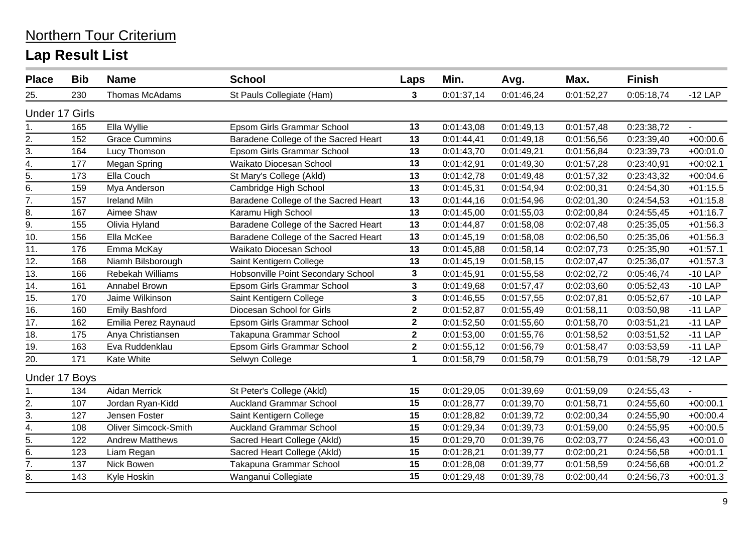| <b>Place</b>          | <b>Bib</b>    | <b>Name</b>                 | <b>School</b>                        | Laps                    | Min.       | Avg.       | Max.       | <b>Finish</b> |            |
|-----------------------|---------------|-----------------------------|--------------------------------------|-------------------------|------------|------------|------------|---------------|------------|
| 25.                   | 230           | Thomas McAdams              | St Pauls Collegiate (Ham)            | 3                       | 0:01:37,14 | 0:01:46,24 | 0:01:52,27 | 0:05:18,74    | $-12$ LAP  |
| <b>Under 17 Girls</b> |               |                             |                                      |                         |            |            |            |               |            |
| 1.                    | 165           | Ella Wyllie                 | Epsom Girls Grammar School           | 13                      | 0:01:43,08 | 0:01:49,13 | 0:01:57,48 | 0:23:38,72    |            |
| 2.                    | 152           | <b>Grace Cummins</b>        | Baradene College of the Sacred Heart | 13                      | 0:01:44,41 | 0:01:49,18 | 0:01:56,56 | 0:23:39,40    | $+00:00.6$ |
| 3.                    | 164           | Lucy Thomson                | Epsom Girls Grammar School           | 13                      | 0:01:43,70 | 0:01:49,21 | 0:01:56,84 | 0:23:39,73    | $+00:01.0$ |
| $\overline{4}$ .      | 177           | Megan Spring                | Waikato Diocesan School              | 13                      | 0:01:42,91 | 0:01:49,30 | 0:01:57,28 | 0:23:40,91    | $+00:02.1$ |
| $\overline{5}$ .      | 173           | Ella Couch                  | St Mary's College (Akld)             | 13                      | 0:01:42,78 | 0:01:49,48 | 0:01:57,32 | 0:23:43,32    | $+00:04.6$ |
| $\underline{6}$ .     | 159           | Mya Anderson                | Cambridge High School                | 13                      | 0:01:45,31 | 0:01:54,94 | 0:02:00,31 | 0:24:54,30    | $+01:15.5$ |
| 7.                    | 157           | <b>Ireland Miln</b>         | Baradene College of the Sacred Heart | 13                      | 0:01:44,16 | 0:01:54,96 | 0:02:01,30 | 0:24:54,53    | $+01:15.8$ |
| 8.                    | 167           | Aimee Shaw                  | Karamu High School                   | 13                      | 0:01:45,00 | 0:01:55,03 | 0:02:00,84 | 0:24:55,45    | $+01:16.7$ |
| $\overline{9}$ .      | 155           | Olivia Hyland               | Baradene College of the Sacred Heart | 13                      | 0:01:44,87 | 0:01:58,08 | 0:02:07,48 | 0:25:35,05    | $+01:56.3$ |
| $\overline{10}$ .     | 156           | Ella McKee                  | Baradene College of the Sacred Heart | 13                      | 0:01:45,19 | 0:01:58,08 | 0:02:06,50 | 0:25:35,06    | $+01:56.3$ |
| $\overline{11}$ .     | 176           | Emma McKay                  | Waikato Diocesan School              | 13                      | 0:01:45,88 | 0:01:58,14 | 0:02:07,73 | 0:25:35,90    | $+01:57.1$ |
| 12.                   | 168           | Niamh Bilsborough           | Saint Kentigern College              | 13                      | 0:01:45,19 | 0:01:58,15 | 0:02:07,47 | 0:25:36,07    | $+01:57.3$ |
| $\overline{13}$ .     | 166           | Rebekah Williams            | Hobsonville Point Secondary School   | $\overline{\mathbf{3}}$ | 0:01:45,91 | 0:01:55,58 | 0:02:02,72 | 0:05:46,74    | $-10$ LAP  |
| 14.                   | 161           | Annabel Brown               | Epsom Girls Grammar School           | 3                       | 0:01:49,68 | 0:01:57,47 | 0:02:03,60 | 0:05:52,43    | $-10$ LAP  |
| 15.                   | 170           | Jaime Wilkinson             | Saint Kentigern College              | 3                       | 0:01:46,55 | 0:01:57,55 | 0:02:07,81 | 0:05:52,67    | $-10$ LAP  |
| 16.                   | 160           | <b>Emily Bashford</b>       | Diocesan School for Girls            | $\mathbf 2$             | 0:01:52,87 | 0:01:55,49 | 0:01:58,11 | 0:03:50,98    | $-11$ LAP  |
| 17.                   | 162           | Emilia Perez Raynaud        | Epsom Girls Grammar School           | $\mathbf{2}$            | 0:01:52,50 | 0:01:55,60 | 0:01:58,70 | 0:03:51,21    | $-11$ LAP  |
| 18.                   | 175           | Anya Christiansen           | Takapuna Grammar School              | $\mathbf{2}$            | 0:01:53,00 | 0:01:55,76 | 0:01:58,52 | 0:03:51,52    | $-11$ LAP  |
| 19.                   | 163           | Eva Ruddenklau              | Epsom Girls Grammar School           | $\overline{\mathbf{2}}$ | 0:01:55,12 | 0:01:56,79 | 0:01:58,47 | 0:03:53,59    | $-11$ LAP  |
| 20.                   | 171           | Kate White                  | Selwyn College                       | $\mathbf 1$             | 0:01:58,79 | 0:01:58,79 | 0:01:58,79 | 0:01:58,79    | $-12$ LAP  |
|                       | Under 17 Boys |                             |                                      |                         |            |            |            |               |            |
| 1.                    | 134           | Aidan Merrick               | St Peter's College (Akld)            | 15                      | 0:01:29,05 | 0:01:39,69 | 0:01:59,09 | 0:24:55,43    |            |
|                       | 107           | Jordan Ryan-Kidd            | <b>Auckland Grammar School</b>       | 15                      | 0:01:28,77 | 0:01:39,70 | 0:01:58,71 | 0:24:55,60    | $+00:00.1$ |
| $\frac{2}{3}$ .       | 127           | Jensen Foster               | Saint Kentigern College              | 15                      | 0:01:28,82 | 0:01:39,72 | 0:02:00,34 | 0:24:55,90    | $+00:00.4$ |
| 4.                    | 108           | <b>Oliver Simcock-Smith</b> | <b>Auckland Grammar School</b>       | 15                      | 0:01:29,34 | 0:01:39,73 | 0:01:59,00 | 0:24:55,95    | $+00:00.5$ |
| $\overline{5}$ .      | 122           | <b>Andrew Matthews</b>      | Sacred Heart College (Akld)          | 15                      | 0:01:29,70 | 0:01:39,76 | 0:02:03,77 | 0:24:56,43    | $+00:01.0$ |
| $\overline{6}$ .      | 123           | Liam Regan                  | Sacred Heart College (Akld)          | 15                      | 0:01:28,21 | 0:01:39,77 | 0:02:00,21 | 0:24:56,58    | $+00:01.1$ |
| 7.                    | 137           | Nick Bowen                  | Takapuna Grammar School              | 15                      | 0:01:28,08 | 0:01:39,77 | 0:01:58,59 | 0:24:56,68    | $+00:01.2$ |
| 8.                    | 143           | Kyle Hoskin                 | Wanganui Collegiate                  | 15                      | 0:01:29,48 | 0:01:39,78 | 0:02:00,44 | 0:24:56,73    | $+00:01.3$ |
|                       |               |                             |                                      |                         |            |            |            |               |            |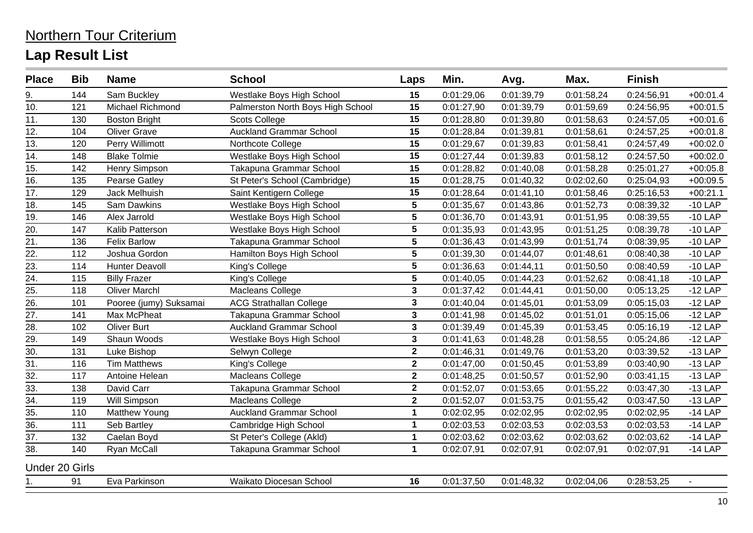| 15<br>144<br>Sam Buckley<br>Westlake Boys High School<br>0:01:29,06<br>0:01:39,79<br>0:01:58,24<br>0:24:56,91<br>9.<br>10.<br>Michael Richmond<br>15<br>121<br>Palmerston North Boys High School<br>0:01:27,90<br>0:01:39,79<br>0:01:59,69<br>0:24:56,95<br>15<br>11.<br><b>Scots College</b><br>0:01:28,80<br>130<br><b>Boston Bright</b><br>0:01:39,80<br>0:01:58,63<br>0:24:57,05<br>12.<br><b>Auckland Grammar School</b><br>15<br>104<br><b>Oliver Grave</b><br>0:01:28,84<br>0:01:39,81<br>0:01:58,61<br>0:24:57,25<br>15<br>13.<br>120<br>Perry Willimott<br>Northcote College<br>0:01:29,67<br>0:01:58,41<br>0:24:57,49<br>0:01:39,83<br>15<br>14.<br>Westlake Boys High School<br><b>Blake Tolmie</b><br>148<br>0:01:27,44<br>0:01:39,83<br>0:01:58,12<br>0:24:57,50<br>15.<br>Henry Simpson<br>Takapuna Grammar School<br>15<br>142<br>0:01:28,82<br>0:01:40,08<br>0:01:58,28<br>0:25:01,27<br>16.<br>15<br>St Peter's School (Cambridge)<br>0:01:28,75<br>135<br>Pearse Gatley<br>0:01:40,32<br>0:02:02,60<br>0:25:04,93<br>17.<br>Saint Kentigern College<br>15<br>129<br>Jack Melhuish<br>0:01:28,64<br>0:01:41,10<br>0:01:58,46<br>0:25:16,53<br>$5\phantom{.0}$<br>18.<br>Westlake Boys High School<br>145<br>Sam Dawkins<br>0:01:35,67<br>0:01:43,86<br>0:01:52,73<br>0:08:39,32 |            |
|--------------------------------------------------------------------------------------------------------------------------------------------------------------------------------------------------------------------------------------------------------------------------------------------------------------------------------------------------------------------------------------------------------------------------------------------------------------------------------------------------------------------------------------------------------------------------------------------------------------------------------------------------------------------------------------------------------------------------------------------------------------------------------------------------------------------------------------------------------------------------------------------------------------------------------------------------------------------------------------------------------------------------------------------------------------------------------------------------------------------------------------------------------------------------------------------------------------------------------------------------------------------------------------------------|------------|
|                                                                                                                                                                                                                                                                                                                                                                                                                                                                                                                                                                                                                                                                                                                                                                                                                                                                                                                                                                                                                                                                                                                                                                                                                                                                                                  | $+00:01.4$ |
|                                                                                                                                                                                                                                                                                                                                                                                                                                                                                                                                                                                                                                                                                                                                                                                                                                                                                                                                                                                                                                                                                                                                                                                                                                                                                                  | $+00:01.5$ |
|                                                                                                                                                                                                                                                                                                                                                                                                                                                                                                                                                                                                                                                                                                                                                                                                                                                                                                                                                                                                                                                                                                                                                                                                                                                                                                  | $+00:01.6$ |
|                                                                                                                                                                                                                                                                                                                                                                                                                                                                                                                                                                                                                                                                                                                                                                                                                                                                                                                                                                                                                                                                                                                                                                                                                                                                                                  | $+00:01.8$ |
|                                                                                                                                                                                                                                                                                                                                                                                                                                                                                                                                                                                                                                                                                                                                                                                                                                                                                                                                                                                                                                                                                                                                                                                                                                                                                                  | $+00:02.0$ |
|                                                                                                                                                                                                                                                                                                                                                                                                                                                                                                                                                                                                                                                                                                                                                                                                                                                                                                                                                                                                                                                                                                                                                                                                                                                                                                  | $+00:02.0$ |
|                                                                                                                                                                                                                                                                                                                                                                                                                                                                                                                                                                                                                                                                                                                                                                                                                                                                                                                                                                                                                                                                                                                                                                                                                                                                                                  | $+00:05.8$ |
|                                                                                                                                                                                                                                                                                                                                                                                                                                                                                                                                                                                                                                                                                                                                                                                                                                                                                                                                                                                                                                                                                                                                                                                                                                                                                                  | $+00:09.5$ |
|                                                                                                                                                                                                                                                                                                                                                                                                                                                                                                                                                                                                                                                                                                                                                                                                                                                                                                                                                                                                                                                                                                                                                                                                                                                                                                  | $+00:21.1$ |
|                                                                                                                                                                                                                                                                                                                                                                                                                                                                                                                                                                                                                                                                                                                                                                                                                                                                                                                                                                                                                                                                                                                                                                                                                                                                                                  | $-10$ LAP  |
| $\overline{19}$ .<br>$\overline{5}$<br>0:01:36,70<br>146<br>0:01:43,91<br>0:01:51,95<br>0:08:39,55<br>Alex Jarrold<br>Westlake Boys High School                                                                                                                                                                                                                                                                                                                                                                                                                                                                                                                                                                                                                                                                                                                                                                                                                                                                                                                                                                                                                                                                                                                                                  | $-10$ LAP  |
| $5\phantom{a}$<br>20.<br>147<br>Kalib Patterson<br>Westlake Boys High School<br>0:01:35,93<br>0:01:43,95<br>0:01:51,25<br>0:08:39,78                                                                                                                                                                                                                                                                                                                                                                                                                                                                                                                                                                                                                                                                                                                                                                                                                                                                                                                                                                                                                                                                                                                                                             | $-10$ LAP  |
| $5\phantom{.0}$<br>21.<br><b>Felix Barlow</b><br>Takapuna Grammar School<br>0:01:36,43<br>0:01:51,74<br>0:08:39,95<br>136<br>0:01:43,99                                                                                                                                                                                                                                                                                                                                                                                                                                                                                                                                                                                                                                                                                                                                                                                                                                                                                                                                                                                                                                                                                                                                                          | $-10$ LAP  |
| $\overline{22}$<br>5<br>112<br>Hamilton Boys High School<br>0:01:39,30<br>0:01:48,61<br>0:08:40,38<br>Joshua Gordon<br>0:01:44,07                                                                                                                                                                                                                                                                                                                                                                                                                                                                                                                                                                                                                                                                                                                                                                                                                                                                                                                                                                                                                                                                                                                                                                | $-10$ LAP  |
| 23.<br>5<br>114<br><b>Hunter Deavoll</b><br>0:01:36,63<br>0:01:50,50<br>0:08:40,59<br>King's College<br>0:01:44,11                                                                                                                                                                                                                                                                                                                                                                                                                                                                                                                                                                                                                                                                                                                                                                                                                                                                                                                                                                                                                                                                                                                                                                               | $-10$ LAP  |
| 24.<br>$5\phantom{.0}$<br><b>Billy Frazer</b><br>King's College<br>0:01:40,05<br>0:01:52,62<br>0:08:41,18<br>115<br>0:01:44,23                                                                                                                                                                                                                                                                                                                                                                                                                                                                                                                                                                                                                                                                                                                                                                                                                                                                                                                                                                                                                                                                                                                                                                   | $-10$ LAP  |
| $\frac{25}{26}$<br>$\mathbf{3}$<br><b>Oliver Marchl</b><br>118<br>Macleans College<br>0:01:37,42<br>0:01:44,41<br>0:01:50,00<br>0:05:13,25                                                                                                                                                                                                                                                                                                                                                                                                                                                                                                                                                                                                                                                                                                                                                                                                                                                                                                                                                                                                                                                                                                                                                       | $-12$ LAP  |
| $\mathbf{3}$<br>Pooree (jumy) Suksamai<br><b>ACG Strathallan College</b><br>0:01:53,09<br>101<br>0:01:40,04<br>0:01:45,01<br>0:05:15,03                                                                                                                                                                                                                                                                                                                                                                                                                                                                                                                                                                                                                                                                                                                                                                                                                                                                                                                                                                                                                                                                                                                                                          | $-12$ LAP  |
| 27.<br>Max McPheat<br>Takapuna Grammar School<br>$\mathbf{3}$<br>0:01:51,01<br>141<br>0:01:41,98<br>0:01:45,02<br>0:05:15,06                                                                                                                                                                                                                                                                                                                                                                                                                                                                                                                                                                                                                                                                                                                                                                                                                                                                                                                                                                                                                                                                                                                                                                     | $-12$ LAP  |
| $\mathbf{3}$<br>28.<br><b>Oliver Burt</b><br><b>Auckland Grammar School</b><br>102<br>0:01:39,49<br>0:01:45,39<br>0:01:53,45<br>0:05:16,19                                                                                                                                                                                                                                                                                                                                                                                                                                                                                                                                                                                                                                                                                                                                                                                                                                                                                                                                                                                                                                                                                                                                                       | $-12$ LAP  |
| $\overline{29}$ .<br>$\mathbf 3$<br>149<br>Shaun Woods<br>0:01:41,63<br>0:01:58,55<br>0:05:24,86<br>Westlake Boys High School<br>0:01:48,28                                                                                                                                                                                                                                                                                                                                                                                                                                                                                                                                                                                                                                                                                                                                                                                                                                                                                                                                                                                                                                                                                                                                                      | $-12$ LAP  |
| $\overline{30}$ .<br>$\mathbf{2}$<br>131<br>0:01:46,31<br>Luke Bishop<br>Selwyn College<br>0:01:49,76<br>0:01:53,20<br>0:03:39,52                                                                                                                                                                                                                                                                                                                                                                                                                                                                                                                                                                                                                                                                                                                                                                                                                                                                                                                                                                                                                                                                                                                                                                | $-13$ LAP  |
| $\overline{31}$ .<br>$\overline{\mathbf{2}}$<br>116<br><b>Tim Matthews</b><br>0:01:47,00<br>0:01:53,89<br>King's College<br>0:01:50,45<br>0:03:40,90                                                                                                                                                                                                                                                                                                                                                                                                                                                                                                                                                                                                                                                                                                                                                                                                                                                                                                                                                                                                                                                                                                                                             | $-13$ LAP  |
| $\overline{32}$<br>$\mathbf{2}$<br>117<br>Antoine Helean<br>Macleans College<br>0:01:48,25<br>0:01:50,57<br>0:01:52,90<br>0:03:41,15                                                                                                                                                                                                                                                                                                                                                                                                                                                                                                                                                                                                                                                                                                                                                                                                                                                                                                                                                                                                                                                                                                                                                             | $-13$ LAP  |
| 33.<br>David Carr<br>Takapuna Grammar School<br>$\mathbf{2}$<br>138<br>0:01:52,07<br>0:01:53,65<br>0:01:55,22<br>0:03:47,30                                                                                                                                                                                                                                                                                                                                                                                                                                                                                                                                                                                                                                                                                                                                                                                                                                                                                                                                                                                                                                                                                                                                                                      | $-13$ LAP  |
| $\overline{34}$ .<br>$\overline{\mathbf{2}}$<br>119<br>Will Simpson<br>Macleans College<br>0:01:52,07<br>0:01:53,75<br>0:01:55,42<br>0:03:47,50                                                                                                                                                                                                                                                                                                                                                                                                                                                                                                                                                                                                                                                                                                                                                                                                                                                                                                                                                                                                                                                                                                                                                  | $-13$ LAP  |
| 35.<br><b>Auckland Grammar School</b><br>$\mathbf 1$<br>0:02:02,95<br>110<br>Matthew Young<br>0:02:02,95<br>0:02:02,95<br>0:02:02,95                                                                                                                                                                                                                                                                                                                                                                                                                                                                                                                                                                                                                                                                                                                                                                                                                                                                                                                                                                                                                                                                                                                                                             | $-14$ LAP  |
| $\overline{36}$<br>111<br>$\mathbf{1}$<br>Seb Bartley<br>Cambridge High School<br>0:02:03,53<br>0:02:03,53<br>0:02:03,53<br>0:02:03,53                                                                                                                                                                                                                                                                                                                                                                                                                                                                                                                                                                                                                                                                                                                                                                                                                                                                                                                                                                                                                                                                                                                                                           | $-14$ LAP  |
| $\overline{37}$ .<br>132<br>St Peter's College (Akld)<br>$\mathbf{1}$<br>Caelan Boyd<br>0:02:03,62<br>0:02:03,62<br>0:02:03,62<br>0:02:03,62                                                                                                                                                                                                                                                                                                                                                                                                                                                                                                                                                                                                                                                                                                                                                                                                                                                                                                                                                                                                                                                                                                                                                     | $-14$ LAP  |
| 38.<br>$\mathbf 1$<br>140<br>Ryan McCall<br>Takapuna Grammar School<br>0:02:07,91<br>0:02:07,91<br>0:02:07,91<br>0:02:07,91                                                                                                                                                                                                                                                                                                                                                                                                                                                                                                                                                                                                                                                                                                                                                                                                                                                                                                                                                                                                                                                                                                                                                                      | $-14$ LAP  |
| <b>Under 20 Girls</b>                                                                                                                                                                                                                                                                                                                                                                                                                                                                                                                                                                                                                                                                                                                                                                                                                                                                                                                                                                                                                                                                                                                                                                                                                                                                            |            |
| Waikato Diocesan School<br>16<br>91<br>Eva Parkinson<br>0:01:37,50<br>0:01:48,32<br>0:28:53,25<br>1.<br>0:02:04,06                                                                                                                                                                                                                                                                                                                                                                                                                                                                                                                                                                                                                                                                                                                                                                                                                                                                                                                                                                                                                                                                                                                                                                               |            |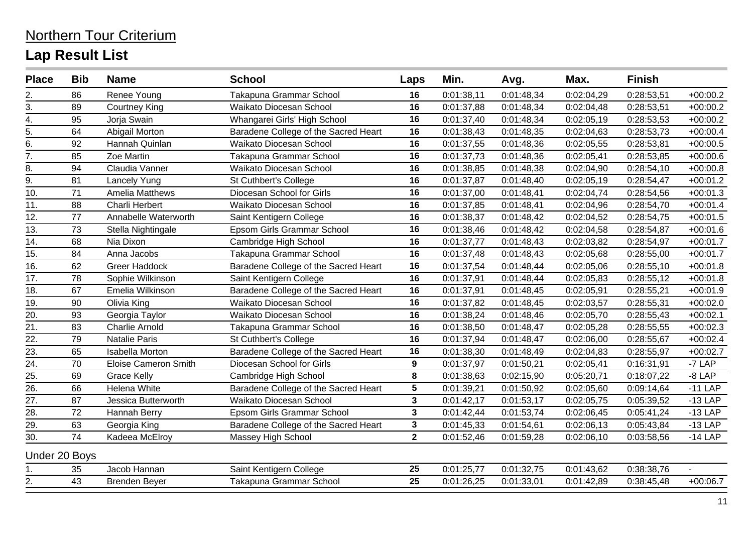| <b>Place</b>      | <b>Bib</b>      | <b>Name</b>                 | <b>School</b>                        | Laps                    | Min.       | Avg.       | Max.       | <b>Finish</b> |            |
|-------------------|-----------------|-----------------------------|--------------------------------------|-------------------------|------------|------------|------------|---------------|------------|
| 2.                | 86              | Renee Young                 | Takapuna Grammar School              | 16                      | 0:01:38,11 | 0:01:48,34 | 0:02:04,29 | 0:28:53,51    | $+00:00.2$ |
| 3.                | 89              | <b>Courtney King</b>        | Waikato Diocesan School              | 16                      | 0:01:37,88 | 0:01:48,34 | 0:02:04,48 | 0:28:53,51    | $+00:00.2$ |
| 4.                | 95              | Jorja Swain                 | Whangarei Girls' High School         | 16                      | 0:01:37,40 | 0:01:48,34 | 0:02:05,19 | 0:28:53,53    | $+00:00.2$ |
| $\overline{5}$ .  | 64              | Abigail Morton              | Baradene College of the Sacred Heart | 16                      | 0:01:38,43 | 0:01:48,35 | 0:02:04,63 | 0:28:53,73    | $+00:00.4$ |
| 6.                | 92              | Hannah Quinlan              | Waikato Diocesan School              | 16                      | 0:01:37,55 | 0:01:48,36 | 0:02:05,55 | 0:28:53,81    | $+00:00.5$ |
| 7.                | 85              | Zoe Martin                  | Takapuna Grammar School              | 16                      | 0:01:37,73 | 0:01:48,36 | 0:02:05,41 | 0:28:53,85    | $+00:00.6$ |
| 8.                | 94              | Claudia Vanner              | Waikato Diocesan School              | 16                      | 0:01:38,85 | 0:01:48,38 | 0:02:04,90 | 0:28:54,10    | $+00:00.8$ |
| 9.                | 81              | <b>Lancely Yung</b>         | St Cuthbert's College                | 16                      | 0:01:37,87 | 0:01:48,40 | 0:02:05,19 | 0:28:54,47    | $+00:01.2$ |
| $\overline{10}$ . | $\overline{71}$ | <b>Amelia Matthews</b>      | Diocesan School for Girls            | 16                      | 0:01:37,00 | 0:01:48,41 | 0:02:04,74 | 0:28:54,56    | $+00:01.3$ |
| 11.               | 88              | Charli Herbert              | Waikato Diocesan School              | 16                      | 0:01:37,85 | 0:01:48,41 | 0:02:04,96 | 0:28:54,70    | $+00:01.4$ |
| 12.               | 77              | Annabelle Waterworth        | Saint Kentigern College              | 16                      | 0:01:38,37 | 0:01:48,42 | 0:02:04,52 | 0:28:54,75    | $+00:01.5$ |
| 13.               | 73              | Stella Nightingale          | Epsom Girls Grammar School           | 16                      | 0:01:38,46 | 0:01:48,42 | 0:02:04,58 | 0:28:54,87    | $+00:01.6$ |
| 14.               | 68              | Nia Dixon                   | Cambridge High School                | 16                      | 0:01:37,77 | 0:01:48,43 | 0:02:03,82 | 0:28:54,97    | $+00:01.7$ |
| 15.               | 84              | Anna Jacobs                 | Takapuna Grammar School              | 16                      | 0:01:37,48 | 0:01:48,43 | 0:02:05,68 | 0:28:55,00    | $+00:01.7$ |
| 16.               | 62              | Greer Haddock               | Baradene College of the Sacred Heart | 16                      | 0:01:37,54 | 0:01:48,44 | 0:02:05,06 | 0:28:55,10    | $+00:01.8$ |
| 17.               | 78              | Sophie Wilkinson            | Saint Kentigern College              | 16                      | 0:01:37,91 | 0:01:48,44 | 0:02:05,83 | 0:28:55,12    | $+00:01.8$ |
| 18.               | 67              | Emelia Wilkinson            | Baradene College of the Sacred Heart | 16                      | 0:01:37,91 | 0:01:48,45 | 0:02:05,91 | 0:28:55,21    | $+00:01.9$ |
| 19.               | 90              | Olivia King                 | Waikato Diocesan School              | 16                      | 0:01:37,82 | 0:01:48,45 | 0:02:03,57 | 0:28:55,31    | $+00:02.0$ |
| 20.               | 93              | Georgia Taylor              | Waikato Diocesan School              | 16                      | 0:01:38,24 | 0:01:48,46 | 0:02:05,70 | 0:28:55,43    | $+00:02.1$ |
| 21.               | 83              | <b>Charlie Arnold</b>       | Takapuna Grammar School              | 16                      | 0:01:38,50 | 0:01:48,47 | 0:02:05,28 | 0:28:55,55    | $+00:02.3$ |
| 22.               | 79              | Natalie Paris               | St Cuthbert's College                | 16                      | 0:01:37,94 | 0:01:48,47 | 0:02:06,00 | 0:28:55,67    | $+00:02.4$ |
| $\overline{23}$ . | 65              | <b>Isabella Morton</b>      | Baradene College of the Sacred Heart | 16                      | 0:01:38,30 | 0:01:48,49 | 0:02:04,83 | 0:28:55,97    | $+00:02.7$ |
| 24.               | 70              | <b>Eloise Cameron Smith</b> | Diocesan School for Girls            | $\boldsymbol{9}$        | 0:01:37,97 | 0:01:50,21 | 0:02:05,41 | 0:16:31,91    | $-7$ LAP   |
| 25.               | 69              | <b>Grace Kelly</b>          | Cambridge High School                | 8                       | 0:01:38,63 | 0:02:15,90 | 0:05:20,71 | 0:18:07,22    | $-8$ LAP   |
| 26.               | 66              | Helena White                | Baradene College of the Sacred Heart | $5\phantom{.0}$         | 0:01:39,21 | 0:01:50,92 | 0:02:05,60 | 0:09:14,64    | $-11$ LAP  |
| 27.               | 87              | Jessica Butterworth         | Waikato Diocesan School              | $\mathbf{3}$            | 0:01:42,17 | 0:01:53,17 | 0:02:05,75 | 0:05:39,52    | $-13$ LAP  |
| 28.               | 72              | Hannah Berry                | Epsom Girls Grammar School           | $\mathbf{3}$            | 0:01:42,44 | 0:01:53,74 | 0:02:06,45 | 0:05:41,24    | $-13$ LAP  |
| 29.               | 63              | Georgia King                | Baradene College of the Sacred Heart | $\overline{\mathbf{3}}$ | 0:01:45,33 | 0:01:54,61 | 0:02:06,13 | 0:05:43,84    | $-13$ LAP  |
| 30.               | 74              | Kadeea McElroy              | Massey High School                   | $\overline{2}$          | 0:01:52,46 | 0:01:59,28 | 0:02:06,10 | 0:03:58,56    | $-14$ LAP  |
| Under 20 Boys     |                 |                             |                                      |                         |            |            |            |               |            |
| 1.                | 35              | Jacob Hannan                | Saint Kentigern College              | 25                      | 0:01:25,77 | 0:01:32,75 | 0:01:43,62 | 0:38:38,76    |            |
| $\overline{2}$ .  | 43              | <b>Brenden Beyer</b>        | Takapuna Grammar School              | 25                      | 0:01:26,25 | 0:01:33,01 | 0:01:42,89 | 0:38:45,48    | $+00:06.7$ |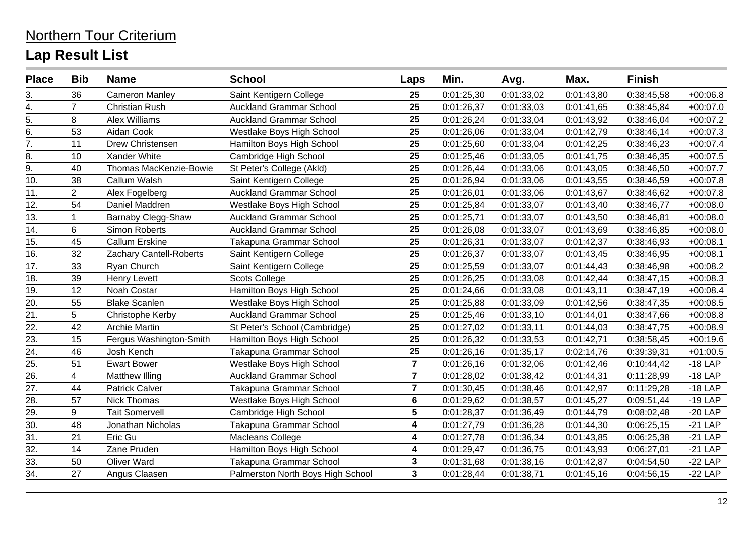| <b>Place</b>      | <b>Bib</b>     | <b>Name</b>             | <b>School</b>                     | Laps                    | Min.       | Avg.       | Max.       | <b>Finish</b> |            |
|-------------------|----------------|-------------------------|-----------------------------------|-------------------------|------------|------------|------------|---------------|------------|
| 3.                | 36             | <b>Cameron Manley</b>   | Saint Kentigern College           | 25                      | 0:01:25,30 | 0:01:33,02 | 0:01:43,80 | 0:38:45,58    | $+00:06.8$ |
| 4.                | $\overline{7}$ | <b>Christian Rush</b>   | <b>Auckland Grammar School</b>    | 25                      | 0:01:26,37 | 0:01:33,03 | 0:01:41,65 | 0:38:45,84    | $+00:07.0$ |
| 5.                | 8              | Alex Williams           | <b>Auckland Grammar School</b>    | 25                      | 0:01:26,24 | 0:01:33,04 | 0:01:43,92 | 0:38:46,04    | $+00:07.2$ |
| 6.                | 53             | Aidan Cook              | Westlake Boys High School         | 25                      | 0:01:26,06 | 0:01:33,04 | 0:01:42,79 | 0:38:46,14    | $+00:07.3$ |
| 7.                | 11             | Drew Christensen        | Hamilton Boys High School         | 25                      | 0:01:25,60 | 0:01:33,04 | 0:01:42,25 | 0:38:46,23    | $+00:07.4$ |
| 8.                | 10             | Xander White            | Cambridge High School             | 25                      | 0:01:25,46 | 0:01:33,05 | 0:01:41,75 | 0:38:46,35    | $+00:07.5$ |
| 9.                | 40             | Thomas MacKenzie-Bowie  | St Peter's College (Akld)         | 25                      | 0:01:26,44 | 0:01:33,06 | 0:01:43,05 | 0:38:46,50    | $+00:07.7$ |
| 10.               | 38             | Callum Walsh            | Saint Kentigern College           | 25                      | 0:01:26,94 | 0:01:33,06 | 0:01:43,55 | 0:38:46,59    | $+00:07.8$ |
| 11.               | $\overline{2}$ | Alex Fogelberg          | <b>Auckland Grammar School</b>    | 25                      | 0:01:26,01 | 0:01:33,06 | 0:01:43,67 | 0:38:46,62    | $+00:07.8$ |
| 12.               | 54             | Daniel Maddren          | Westlake Boys High School         | 25                      | 0:01:25,84 | 0:01:33,07 | 0:01:43,40 | 0:38:46,77    | $+00:08.0$ |
| 13.               |                | Barnaby Clegg-Shaw      | <b>Auckland Grammar School</b>    | 25                      | 0:01:25,71 | 0:01:33,07 | 0:01:43,50 | 0:38:46,81    | $+00:08.0$ |
| 14.               | 6              | Simon Roberts           | <b>Auckland Grammar School</b>    | 25                      | 0:01:26,08 | 0:01:33,07 | 0:01:43,69 | 0:38:46,85    | $+00:08.0$ |
| 15.               | 45             | <b>Callum Erskine</b>   | Takapuna Grammar School           | 25                      | 0:01:26,31 | 0:01:33,07 | 0:01:42,37 | 0:38:46,93    | $+00:08.1$ |
| 16.               | 32             | Zachary Cantell-Roberts | Saint Kentigern College           | 25                      | 0:01:26,37 | 0:01:33,07 | 0:01:43,45 | 0:38:46,95    | $+00:08.1$ |
| 17.               | 33             | Ryan Church             | Saint Kentigern College           | 25                      | 0:01:25,59 | 0:01:33,07 | 0:01:44,43 | 0:38:46,98    | $+00:08.2$ |
| 18.               | 39             | Henry Levett            | <b>Scots College</b>              | 25                      | 0:01:26,25 | 0:01:33,08 | 0:01:42,44 | 0:38:47,15    | $+00:08.3$ |
| 19.               | 12             | Noah Costar             | Hamilton Boys High School         | 25                      | 0:01:24,66 | 0:01:33,08 | 0:01:43,11 | 0:38:47,19    | $+00:08.4$ |
| 20.               | 55             | <b>Blake Scanlen</b>    | Westlake Boys High School         | 25                      | 0:01:25,88 | 0:01:33,09 | 0:01:42,56 | 0:38:47,35    | $+00:08.5$ |
| 21.               | 5              | Christophe Kerby        | <b>Auckland Grammar School</b>    | 25                      | 0:01:25,46 | 0:01:33,10 | 0:01:44,01 | 0:38:47,66    | $+00:08.8$ |
| 22.               | 42             | <b>Archie Martin</b>    | St Peter's School (Cambridge)     | 25                      | 0:01:27,02 | 0:01:33,11 | 0:01:44,03 | 0:38:47,75    | $+00:08.9$ |
| 23.               | 15             | Fergus Washington-Smith | Hamilton Boys High School         | 25                      | 0:01:26,32 | 0:01:33,53 | 0:01:42,71 | 0:38:58,45    | $+00:19.6$ |
| 24.               | 46             | Josh Kench              | Takapuna Grammar School           | 25                      | 0:01:26,16 | 0:01:35,17 | 0:02:14,76 | 0:39:39,31    | $+01:00.5$ |
| 25.               | 51             | <b>Ewart Bower</b>      | Westlake Boys High School         | $\overline{7}$          | 0:01:26,16 | 0:01:32,06 | 0:01:42,46 | 0:10:44,42    | $-18$ LAP  |
| $\overline{26}$ . | $\overline{4}$ | Matthew Illing          | <b>Auckland Grammar School</b>    | $\overline{7}$          | 0:01:28,02 | 0:01:38,42 | 0:01:44,31 | 0:11:28,99    | $-18$ LAP  |
| 27.               | 44             | <b>Patrick Calver</b>   | Takapuna Grammar School           | $\overline{7}$          | 0:01:30,45 | 0:01:38,46 | 0:01:42,97 | 0:11:29,28    | $-18$ LAP  |
| $\overline{28}$ . | 57             | <b>Nick Thomas</b>      | Westlake Boys High School         | 6                       | 0:01:29,62 | 0:01:38,57 | 0:01:45,27 | 0:09:51,44    | $-19$ LAP  |
| 29.               | 9              | <b>Tait Somervell</b>   | Cambridge High School             | 5                       | 0:01:28,37 | 0:01:36,49 | 0:01:44,79 | 0:08:02,48    | $-20$ LAP  |
| $\overline{30}$ . | 48             | Jonathan Nicholas       | Takapuna Grammar School           | 4                       | 0:01:27,79 | 0:01:36,28 | 0:01:44,30 | 0:06:25,15    | $-21$ LAP  |
| 31.               | 21             | Eric Gu                 | Macleans College                  | 4                       | 0:01:27,78 | 0:01:36,34 | 0:01:43,85 | 0:06:25,38    | $-21$ LAP  |
| 32.               | 14             | Zane Pruden             | Hamilton Boys High School         | 4                       | 0:01:29,47 | 0:01:36,75 | 0:01:43,93 | 0:06:27,01    | $-21$ LAP  |
| 33.               | 50             | <b>Oliver Ward</b>      | Takapuna Grammar School           | $\overline{\mathbf{3}}$ | 0:01:31,68 | 0:01:38,16 | 0:01:42,87 | 0:04:54,50    | $-22$ LAP  |
| 34.               | 27             | Angus Claasen           | Palmerston North Boys High School | 3                       | 0:01:28,44 | 0:01:38,71 | 0:01:45,16 | 0:04:56,15    | $-22$ LAP  |